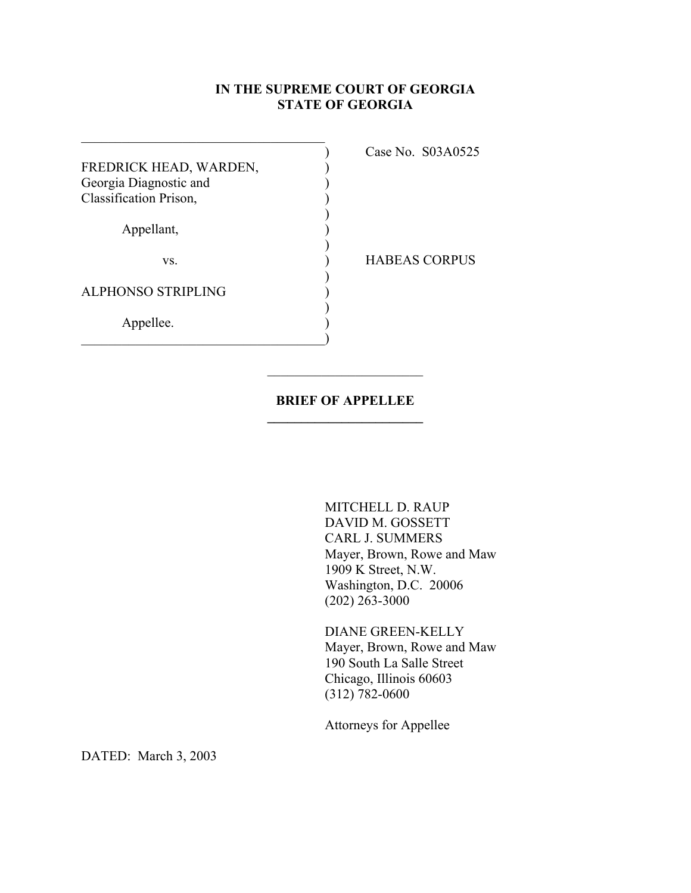## **IN THE SUPREME COURT OF GEORGIA STATE OF GEORGIA**

|                           | аs |
|---------------------------|----|
| FREDRICK HEAD, WARDEN,    |    |
| Georgia Diagnostic and    |    |
| Classification Prison,    |    |
|                           |    |
| Appellant,                |    |
|                           |    |
| VS.                       |    |
|                           |    |
| <b>ALPHONSO STRIPLING</b> |    |
|                           |    |
| Appellee.                 |    |
|                           |    |

 $\mathcal{L}_\text{max}$  and  $\mathcal{L}_\text{max}$  and  $\mathcal{L}_\text{max}$  and  $\mathcal{L}_\text{max}$  and  $\mathcal{L}_\text{max}$ 

 $\mathcal{L}_\text{max}$  , and the set of the set of the set of the set of the set of the set of the set of the set of the set of the set of the set of the set of the set of the set of the set of the set of the set of the set of the

) Case No. S03A0525

**BEAS CORPUS** 

## **BRIEF OF APPELLEE \_\_\_\_\_\_\_\_\_\_\_\_\_\_\_\_\_\_\_\_\_\_\_**

 MITCHELL D. RAUP DAVID M. GOSSETT CARL J. SUMMERS Mayer, Brown, Rowe and Maw 1909 K Street, N.W. Washington, D.C. 20006 (202) 263-3000

 DIANE GREEN-KELLY Mayer, Brown, Rowe and Maw 190 South La Salle Street Chicago, Illinois 60603 (312) 782-0600

Attorneys for Appellee

DATED: March 3, 2003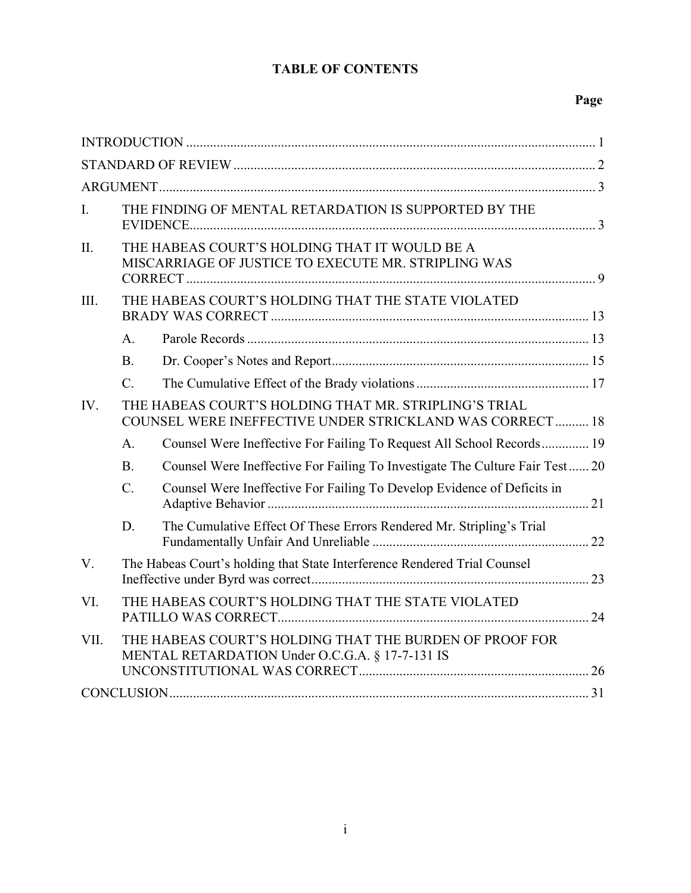## **TABLE OF CONTENTS**

## **Page**

| I.   |                                                                                                      | THE FINDING OF MENTAL RETARDATION IS SUPPORTED BY THE                                                             |  |
|------|------------------------------------------------------------------------------------------------------|-------------------------------------------------------------------------------------------------------------------|--|
| II.  | THE HABEAS COURT'S HOLDING THAT IT WOULD BE A<br>MISCARRIAGE OF JUSTICE TO EXECUTE MR. STRIPLING WAS |                                                                                                                   |  |
| III. |                                                                                                      | THE HABEAS COURT'S HOLDING THAT THE STATE VIOLATED                                                                |  |
|      | $A_{1}$                                                                                              |                                                                                                                   |  |
|      | B <sub>1</sub>                                                                                       |                                                                                                                   |  |
|      | $C_{\cdot}$                                                                                          |                                                                                                                   |  |
| IV.  |                                                                                                      | THE HABEAS COURT'S HOLDING THAT MR. STRIPLING'S TRIAL<br>COUNSEL WERE INEFFECTIVE UNDER STRICKLAND WAS CORRECT 18 |  |
|      | A.                                                                                                   | Counsel Were Ineffective For Failing To Request All School Records 19                                             |  |
|      | B.                                                                                                   | Counsel Were Ineffective For Failing To Investigate The Culture Fair Test 20                                      |  |
|      | $\mathcal{C}$ .                                                                                      | Counsel Were Ineffective For Failing To Develop Evidence of Deficits in                                           |  |
|      | D.                                                                                                   | The Cumulative Effect Of These Errors Rendered Mr. Stripling's Trial                                              |  |
| V.   |                                                                                                      | The Habeas Court's holding that State Interference Rendered Trial Counsel                                         |  |
| VI.  |                                                                                                      | THE HABEAS COURT'S HOLDING THAT THE STATE VIOLATED                                                                |  |
| VII. |                                                                                                      | THE HABEAS COURT'S HOLDING THAT THE BURDEN OF PROOF FOR<br>MENTAL RETARDATION Under O.C.G.A. § 17-7-131 IS        |  |
|      |                                                                                                      |                                                                                                                   |  |
|      |                                                                                                      |                                                                                                                   |  |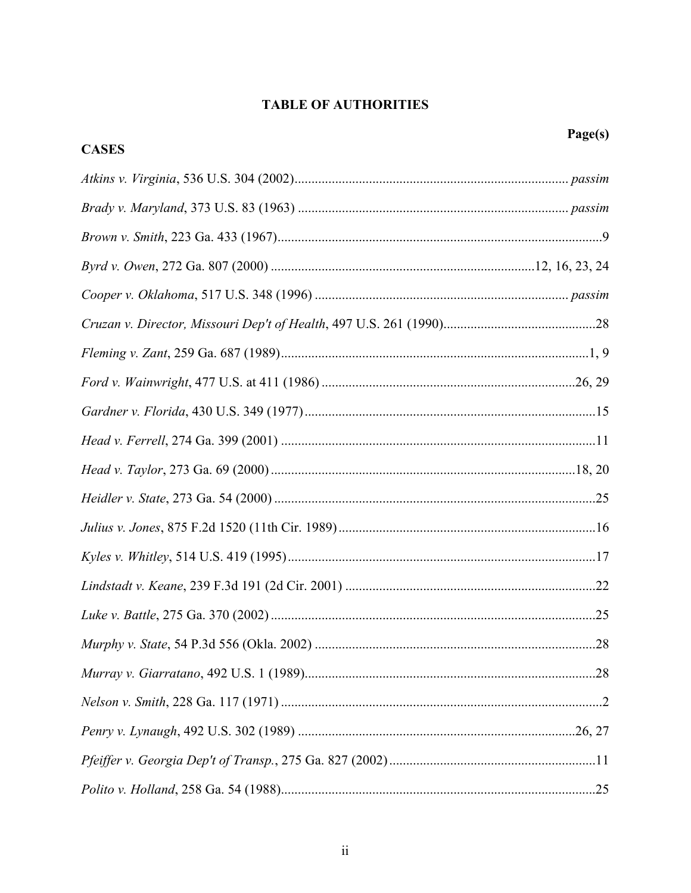# **TABLE OF AUTHORITIES**

| <b>CASES</b> |    |
|--------------|----|
|              |    |
|              |    |
|              |    |
|              |    |
|              |    |
|              |    |
|              |    |
|              |    |
|              |    |
|              |    |
|              |    |
|              |    |
|              |    |
|              |    |
|              |    |
|              |    |
|              | 28 |
|              |    |
|              |    |
|              |    |
|              |    |
|              |    |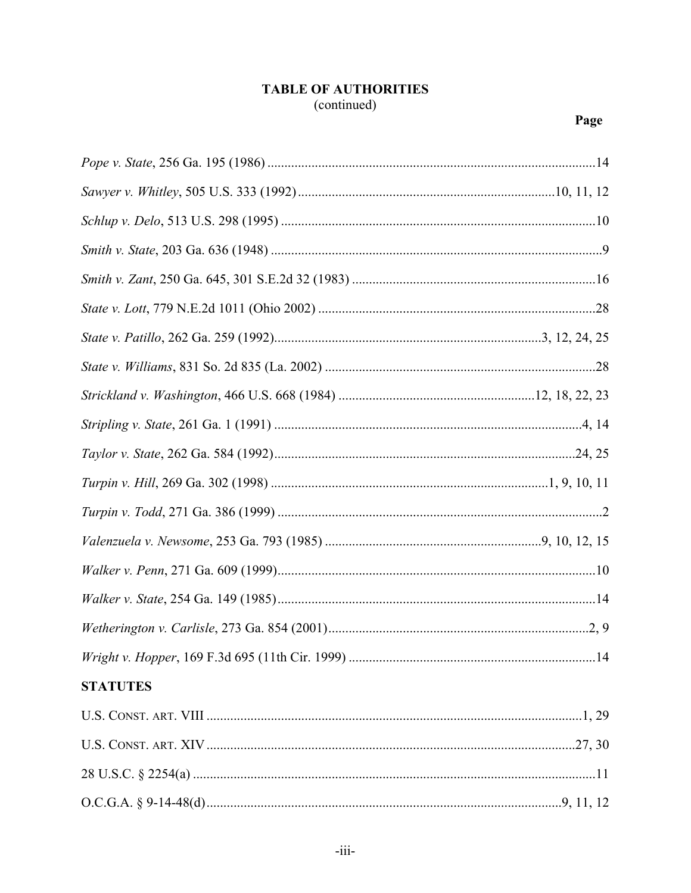## **TABLE OF AUTHORITIES** (continued)

| <b>STATUTES</b> |  |
|-----------------|--|
|                 |  |
|                 |  |
|                 |  |
|                 |  |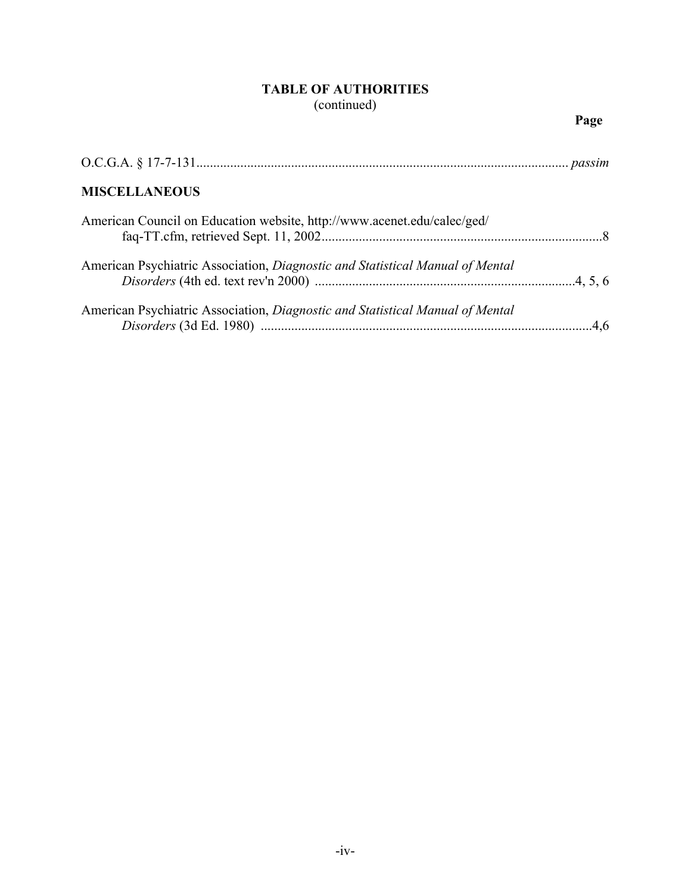## **TABLE OF AUTHORITIES** (continued)

| <b>MISCELLANEOUS</b>                                                          |  |
|-------------------------------------------------------------------------------|--|
| American Council on Education website, http://www.acenet.edu/calec/ged/       |  |
| American Psychiatric Association, Diagnostic and Statistical Manual of Mental |  |
| American Psychiatric Association, Diagnostic and Statistical Manual of Mental |  |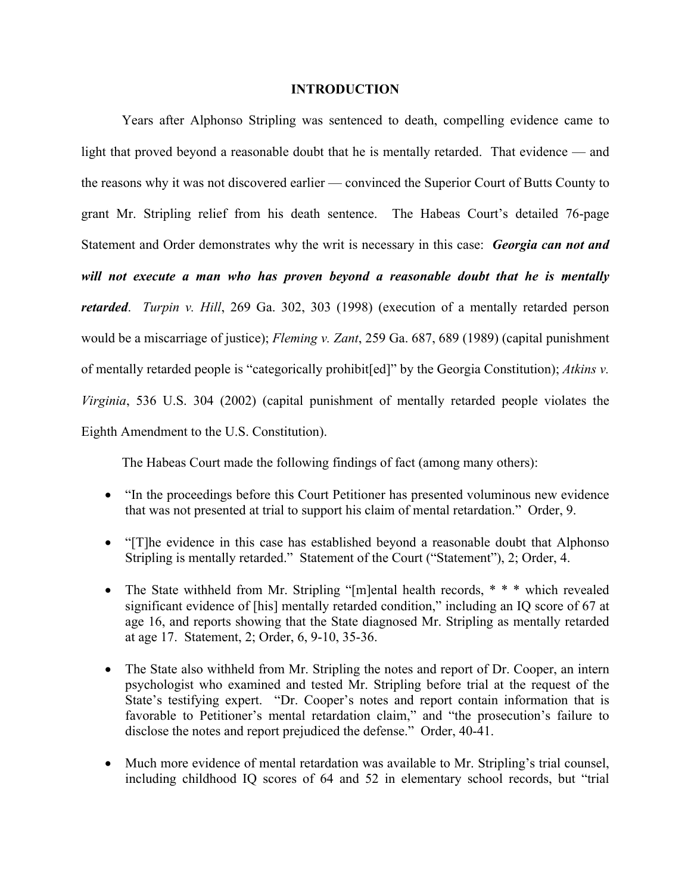#### **INTRODUCTION**

 Years after Alphonso Stripling was sentenced to death, compelling evidence came to light that proved beyond a reasonable doubt that he is mentally retarded. That evidence — and the reasons why it was not discovered earlier — convinced the Superior Court of Butts County to grant Mr. Stripling relief from his death sentence. The Habeas Court's detailed 76-page Statement and Order demonstrates why the writ is necessary in this case: *Georgia can not and will not execute a man who has proven beyond a reasonable doubt that he is mentally retarded*. *Turpin v. Hill*, 269 Ga. 302, 303 (1998) (execution of a mentally retarded person would be a miscarriage of justice); *Fleming v. Zant*, 259 Ga. 687, 689 (1989) (capital punishment of mentally retarded people is "categorically prohibit[ed]" by the Georgia Constitution); *Atkins v. Virginia*, 536 U.S. 304 (2002) (capital punishment of mentally retarded people violates the Eighth Amendment to the U.S. Constitution).

The Habeas Court made the following findings of fact (among many others):

- "In the proceedings before this Court Petitioner has presented voluminous new evidence that was not presented at trial to support his claim of mental retardation." Order, 9.
- "[T]he evidence in this case has established beyond a reasonable doubt that Alphonso Stripling is mentally retarded." Statement of the Court ("Statement"), 2; Order, 4.
- The State withheld from Mr. Stripling "[m]ental health records, \* \* \* which revealed significant evidence of [his] mentally retarded condition," including an IQ score of 67 at age 16, and reports showing that the State diagnosed Mr. Stripling as mentally retarded at age 17. Statement, 2; Order, 6, 9-10, 35-36.
- The State also withheld from Mr. Stripling the notes and report of Dr. Cooper, an intern psychologist who examined and tested Mr. Stripling before trial at the request of the State's testifying expert. "Dr. Cooper's notes and report contain information that is favorable to Petitioner's mental retardation claim," and "the prosecution's failure to disclose the notes and report prejudiced the defense." Order, 40-41.
- Much more evidence of mental retardation was available to Mr. Stripling's trial counsel, including childhood IQ scores of 64 and 52 in elementary school records, but "trial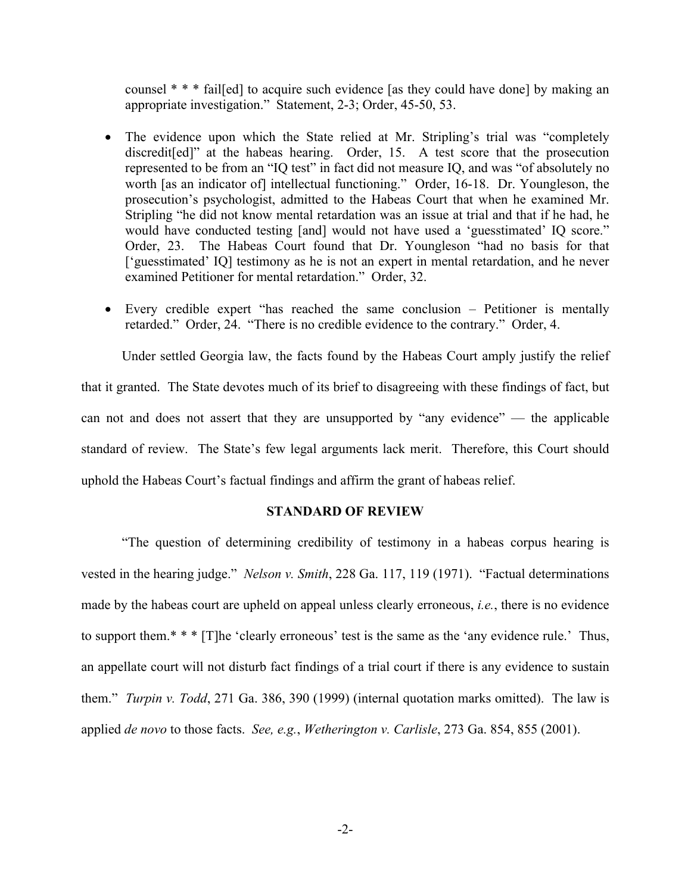counsel \* \* \* fail[ed] to acquire such evidence [as they could have done] by making an appropriate investigation." Statement, 2-3; Order, 45-50, 53.

- The evidence upon which the State relied at Mr. Stripling's trial was "completely" discredit[ed]" at the habeas hearing. Order, 15. A test score that the prosecution represented to be from an "IQ test" in fact did not measure IQ, and was "of absolutely no worth [as an indicator of] intellectual functioning." Order, 16-18. Dr. Youngleson, the prosecution's psychologist, admitted to the Habeas Court that when he examined Mr. Stripling "he did not know mental retardation was an issue at trial and that if he had, he would have conducted testing [and] would not have used a 'guesstimated' IQ score." Order, 23. The Habeas Court found that Dr. Youngleson "had no basis for that ['guesstimated' IQ] testimony as he is not an expert in mental retardation, and he never examined Petitioner for mental retardation." Order, 32.
- Every credible expert "has reached the same conclusion Petitioner is mentally retarded." Order, 24. "There is no credible evidence to the contrary." Order, 4.

Under settled Georgia law, the facts found by the Habeas Court amply justify the relief that it granted. The State devotes much of its brief to disagreeing with these findings of fact, but can not and does not assert that they are unsupported by "any evidence" — the applicable standard of review. The State's few legal arguments lack merit. Therefore, this Court should uphold the Habeas Court's factual findings and affirm the grant of habeas relief.

#### **STANDARD OF REVIEW**

 "The question of determining credibility of testimony in a habeas corpus hearing is vested in the hearing judge." *Nelson v. Smith*, 228 Ga. 117, 119 (1971). "Factual determinations made by the habeas court are upheld on appeal unless clearly erroneous, *i.e.*, there is no evidence to support them.\* \* \* [T]he 'clearly erroneous' test is the same as the 'any evidence rule.' Thus, an appellate court will not disturb fact findings of a trial court if there is any evidence to sustain them." *Turpin v. Todd*, 271 Ga. 386, 390 (1999) (internal quotation marks omitted). The law is applied *de novo* to those facts. *See, e.g.*, *Wetherington v. Carlisle*, 273 Ga. 854, 855 (2001).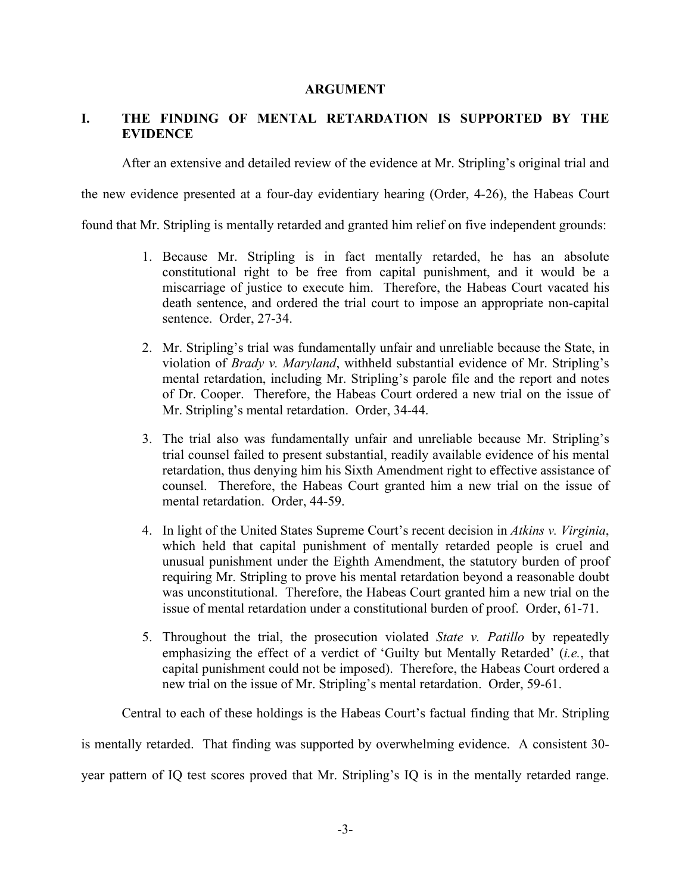#### **ARGUMENT**

### **I. THE FINDING OF MENTAL RETARDATION IS SUPPORTED BY THE EVIDENCE**

After an extensive and detailed review of the evidence at Mr. Stripling's original trial and

the new evidence presented at a four-day evidentiary hearing (Order, 4-26), the Habeas Court

found that Mr. Stripling is mentally retarded and granted him relief on five independent grounds:

- 1. Because Mr. Stripling is in fact mentally retarded, he has an absolute constitutional right to be free from capital punishment, and it would be a miscarriage of justice to execute him. Therefore, the Habeas Court vacated his death sentence, and ordered the trial court to impose an appropriate non-capital sentence. Order, 27-34.
- 2. Mr. Stripling's trial was fundamentally unfair and unreliable because the State, in violation of *Brady v. Maryland*, withheld substantial evidence of Mr. Stripling's mental retardation, including Mr. Stripling's parole file and the report and notes of Dr. Cooper. Therefore, the Habeas Court ordered a new trial on the issue of Mr. Stripling's mental retardation. Order, 34-44.
- 3. The trial also was fundamentally unfair and unreliable because Mr. Stripling's trial counsel failed to present substantial, readily available evidence of his mental retardation, thus denying him his Sixth Amendment right to effective assistance of counsel. Therefore, the Habeas Court granted him a new trial on the issue of mental retardation. Order, 44-59.
- 4. In light of the United States Supreme Court's recent decision in *Atkins v. Virginia*, which held that capital punishment of mentally retarded people is cruel and unusual punishment under the Eighth Amendment, the statutory burden of proof requiring Mr. Stripling to prove his mental retardation beyond a reasonable doubt was unconstitutional. Therefore, the Habeas Court granted him a new trial on the issue of mental retardation under a constitutional burden of proof. Order, 61-71.
- 5. Throughout the trial, the prosecution violated *State v. Patillo* by repeatedly emphasizing the effect of a verdict of 'Guilty but Mentally Retarded' (*i.e.*, that capital punishment could not be imposed). Therefore, the Habeas Court ordered a new trial on the issue of Mr. Stripling's mental retardation. Order, 59-61.

Central to each of these holdings is the Habeas Court's factual finding that Mr. Stripling

is mentally retarded. That finding was supported by overwhelming evidence. A consistent 30-

year pattern of IQ test scores proved that Mr. Stripling's IQ is in the mentally retarded range.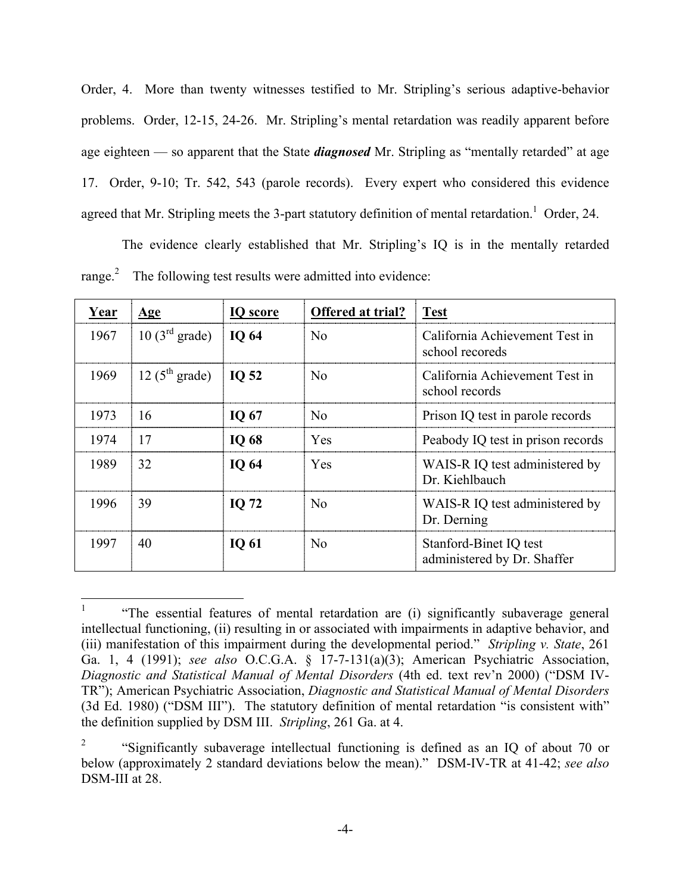Order, 4. More than twenty witnesses testified to Mr. Stripling's serious adaptive-behavior problems. Order, 12-15, 24-26. Mr. Stripling's mental retardation was readily apparent before age eighteen — so apparent that the State *diagnosed* Mr. Stripling as "mentally retarded" at age 17. Order, 9-10; Tr. 542, 543 (parole records). Every expert who considered this evidence agreed that Mr. Stripling meets the 3-part statutory definition of mental retardation.<sup>1</sup> Order, 24.

The evidence clearly established that Mr. Stripling's IQ is in the mentally retarded range. $\degree$  The following test results were admitted into evidence:

| Year | <u>Age</u>                        | <b>IQ</b> score   | Offered at trial? | <b>Test</b>                                           |
|------|-----------------------------------|-------------------|-------------------|-------------------------------------------------------|
| 1967 | 10(3 <sup>rd</sup> grade)         | <b>IO 64</b>      | No                | California Achievement Test in<br>school recoreds     |
| 1969 | $12(5^{\text{th}} \text{ grade})$ | $\overline{1052}$ | No                | California Achievement Test in<br>school records      |
| 1973 | 16                                | IQ 67             | N <sub>0</sub>    | Prison IQ test in parole records                      |
| 1974 | 17                                | IQ 68             | <b>Yes</b>        | Peabody IQ test in prison records                     |
| 1989 | 32                                | IQ 64             | <b>Yes</b>        | WAIS-R IQ test administered by<br>Dr. Kiehlbauch      |
| 1996 | 39                                | <b>IO 72</b>      | $\overline{N}$    | WAIS-R IQ test administered by<br>Dr. Derning         |
| 1997 | 40                                | <b>IQ 61</b>      | N <sub>0</sub>    | Stanford-Binet IQ test<br>administered by Dr. Shaffer |

<sup>&</sup>lt;sup>1</sup> "The essential features of mental retardation are (i) significantly subaverage general intellectual functioning, (ii) resulting in or associated with impairments in adaptive behavior, and (iii) manifestation of this impairment during the developmental period." *Stripling v. State*, 261 Ga. 1, 4 (1991); *see also* O.C.G.A. § 17-7-131(a)(3); American Psychiatric Association, *Diagnostic and Statistical Manual of Mental Disorders* (4th ed. text rev'n 2000) ("DSM IV-TR"); American Psychiatric Association, *Diagnostic and Statistical Manual of Mental Disorders* (3d Ed. 1980) ("DSM III"). The statutory definition of mental retardation "is consistent with" the definition supplied by DSM III. *Stripling*, 261 Ga. at 4.

<sup>2</sup> "Significantly subaverage intellectual functioning is defined as an IQ of about 70 or below (approximately 2 standard deviations below the mean)." DSM-IV-TR at 41-42; *see also* DSM-III at 28.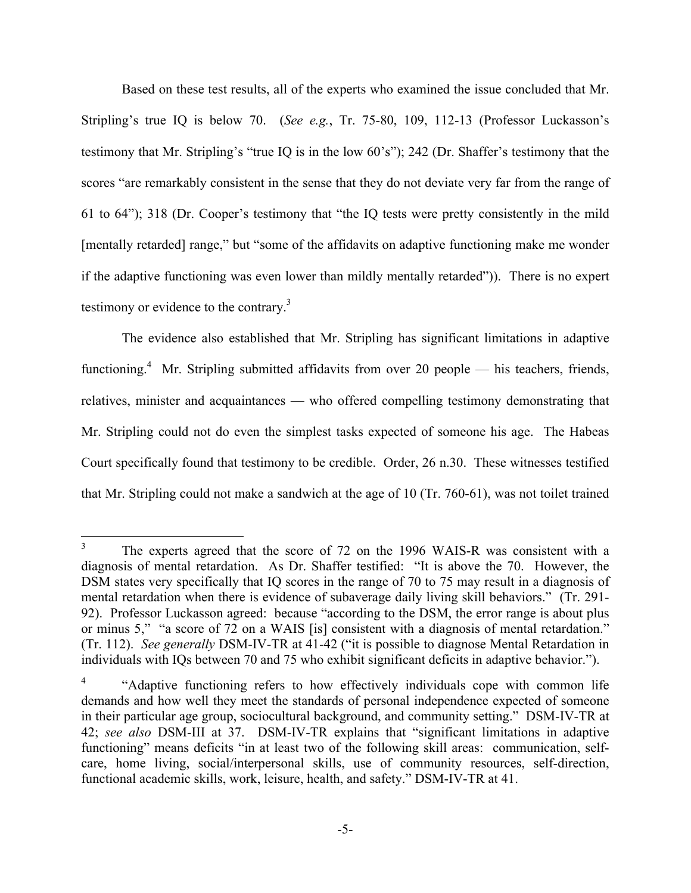Based on these test results, all of the experts who examined the issue concluded that Mr. Stripling's true IQ is below 70. (*See e.g.*, Tr. 75-80, 109, 112-13 (Professor Luckasson's testimony that Mr. Stripling's "true IQ is in the low 60's"); 242 (Dr. Shaffer's testimony that the scores "are remarkably consistent in the sense that they do not deviate very far from the range of 61 to 64"); 318 (Dr. Cooper's testimony that "the IQ tests were pretty consistently in the mild [mentally retarded] range," but "some of the affidavits on adaptive functioning make me wonder if the adaptive functioning was even lower than mildly mentally retarded")). There is no expert testimony or evidence to the contrary.3

The evidence also established that Mr. Stripling has significant limitations in adaptive functioning.<sup>4</sup> Mr. Stripling submitted affidavits from over 20 people — his teachers, friends, relatives, minister and acquaintances — who offered compelling testimony demonstrating that Mr. Stripling could not do even the simplest tasks expected of someone his age. The Habeas Court specifically found that testimony to be credible. Order, 26 n.30. These witnesses testified that Mr. Stripling could not make a sandwich at the age of 10 (Tr. 760-61), was not toilet trained

<sup>&</sup>lt;sup>3</sup> The experts agreed that the score of 72 on the 1996 WAIS-R was consistent with a diagnosis of mental retardation. As Dr. Shaffer testified: "It is above the 70. However, the DSM states very specifically that IQ scores in the range of 70 to 75 may result in a diagnosis of mental retardation when there is evidence of subaverage daily living skill behaviors." (Tr. 291- 92). Professor Luckasson agreed: because "according to the DSM, the error range is about plus or minus 5," "a score of 72 on a WAIS [is] consistent with a diagnosis of mental retardation." (Tr. 112). *See generally* DSM-IV-TR at 41-42 ("it is possible to diagnose Mental Retardation in individuals with IQs between 70 and 75 who exhibit significant deficits in adaptive behavior.").

<sup>4</sup> "Adaptive functioning refers to how effectively individuals cope with common life demands and how well they meet the standards of personal independence expected of someone in their particular age group, sociocultural background, and community setting." DSM-IV-TR at 42; *see also* DSM-III at 37. DSM-IV-TR explains that "significant limitations in adaptive functioning" means deficits "in at least two of the following skill areas: communication, selfcare, home living, social/interpersonal skills, use of community resources, self-direction, functional academic skills, work, leisure, health, and safety." DSM-IV-TR at 41.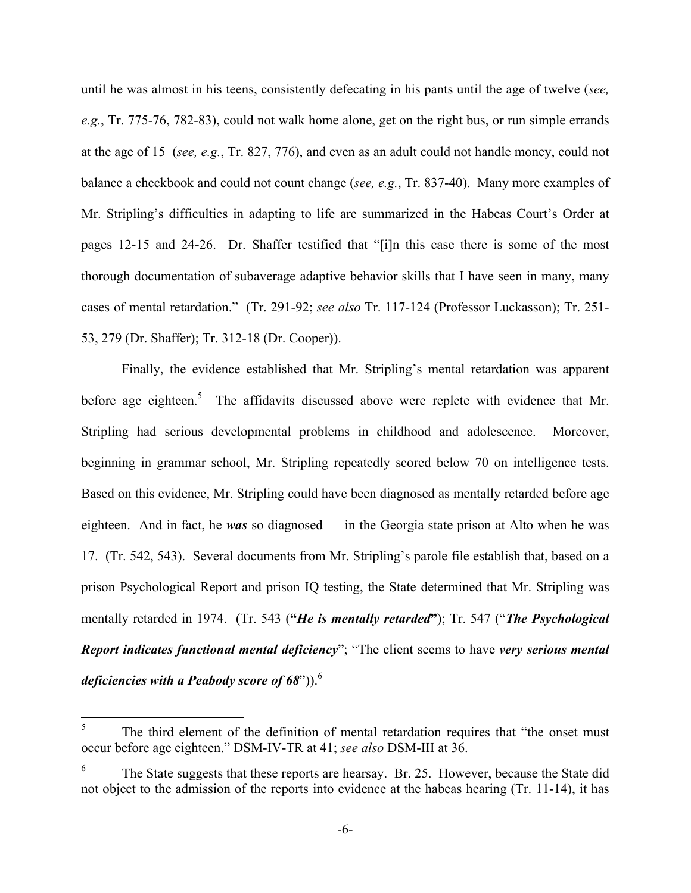until he was almost in his teens, consistently defecating in his pants until the age of twelve (*see, e.g.*, Tr. 775-76, 782-83), could not walk home alone, get on the right bus, or run simple errands at the age of 15 (*see, e.g.*, Tr. 827, 776), and even as an adult could not handle money, could not balance a checkbook and could not count change (*see, e.g.*, Tr. 837-40). Many more examples of Mr. Stripling's difficulties in adapting to life are summarized in the Habeas Court's Order at pages 12-15 and 24-26. Dr. Shaffer testified that "[i]n this case there is some of the most thorough documentation of subaverage adaptive behavior skills that I have seen in many, many cases of mental retardation." (Tr. 291-92; *see also* Tr. 117-124 (Professor Luckasson); Tr. 251- 53, 279 (Dr. Shaffer); Tr. 312-18 (Dr. Cooper)).

Finally, the evidence established that Mr. Stripling's mental retardation was apparent before age eighteen.<sup>5</sup> The affidavits discussed above were replete with evidence that Mr. Stripling had serious developmental problems in childhood and adolescence. Moreover, beginning in grammar school, Mr. Stripling repeatedly scored below 70 on intelligence tests. Based on this evidence, Mr. Stripling could have been diagnosed as mentally retarded before age eighteen. And in fact, he *was* so diagnosed — in the Georgia state prison at Alto when he was 17. (Tr. 542, 543). Several documents from Mr. Stripling's parole file establish that, based on a prison Psychological Report and prison IQ testing, the State determined that Mr. Stripling was mentally retarded in 1974. (Tr. 543 (**"***He is mentally retarded***"**); Tr. 547 ("*The Psychological Report indicates functional mental deficiency*"; "The client seems to have *very serious mental deficiencies with a Peabody score of 68*")).<sup>6</sup>

<sup>&</sup>lt;sup>5</sup> The third element of the definition of mental retardation requires that "the onset must" occur before age eighteen." DSM-IV-TR at 41; *see also* DSM-III at 36.

<sup>6</sup> The State suggests that these reports are hearsay. Br. 25. However, because the State did not object to the admission of the reports into evidence at the habeas hearing (Tr. 11-14), it has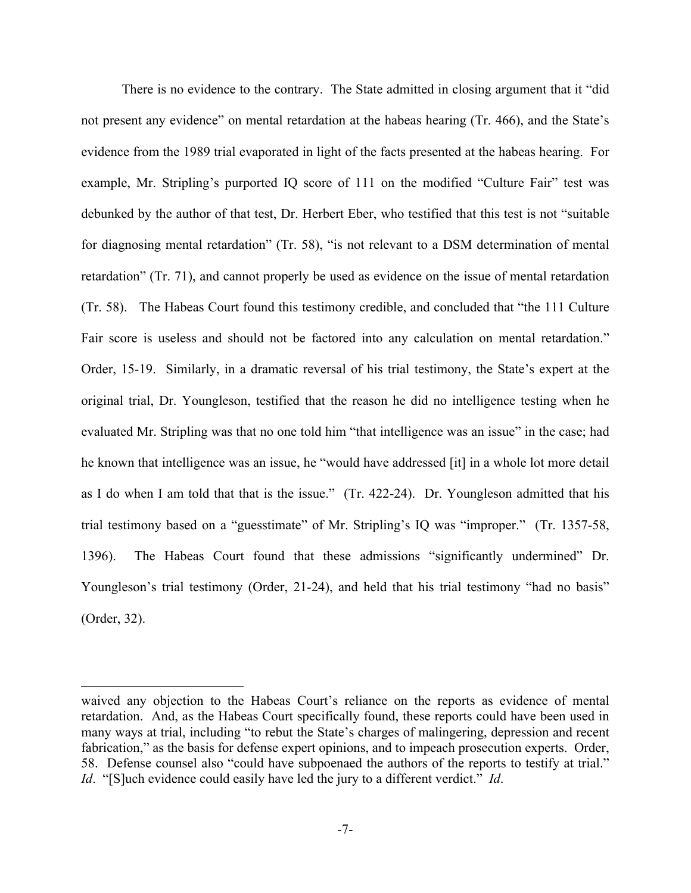There is no evidence to the contrary. The State admitted in closing argument that it "did not present any evidence" on mental retardation at the habeas hearing (Tr. 466), and the State's evidence from the 1989 trial evaporated in light of the facts presented at the habeas hearing. For example, Mr. Stripling's purported IQ score of 111 on the modified "Culture Fair" test was debunked by the author of that test, Dr. Herbert Eber, who testified that this test is not "suitable for diagnosing mental retardation" (Tr. 58), "is not relevant to a DSM determination of mental retardation" (Tr. 71), and cannot properly be used as evidence on the issue of mental retardation (Tr. 58). The Habeas Court found this testimony credible, and concluded that "the 111 Culture Fair score is useless and should not be factored into any calculation on mental retardation." Order, 15-19. Similarly, in a dramatic reversal of his trial testimony, the State's expert at the original trial, Dr. Youngleson, testified that the reason he did no intelligence testing when he evaluated Mr. Stripling was that no one told him "that intelligence was an issue" in the case; had he known that intelligence was an issue, he "would have addressed [it] in a whole lot more detail as I do when I am told that that is the issue." (Tr. 422-24). Dr. Youngleson admitted that his trial testimony based on a "guesstimate" of Mr. Stripling's IQ was "improper." (Tr. 1357-58, 1396). The Habeas Court found that these admissions "significantly undermined" Dr. Youngleson's trial testimony (Order, 21-24), and held that his trial testimony "had no basis" (Order, 32).

 $\overline{a}$ 

waived any objection to the Habeas Court's reliance on the reports as evidence of mental retardation. And, as the Habeas Court specifically found, these reports could have been used in many ways at trial, including "to rebut the State's charges of malingering, depression and recent fabrication," as the basis for defense expert opinions, and to impeach prosecution experts. Order, 58. Defense counsel also "could have subpoenaed the authors of the reports to testify at trial." *Id*. "[S]uch evidence could easily have led the jury to a different verdict." *Id*.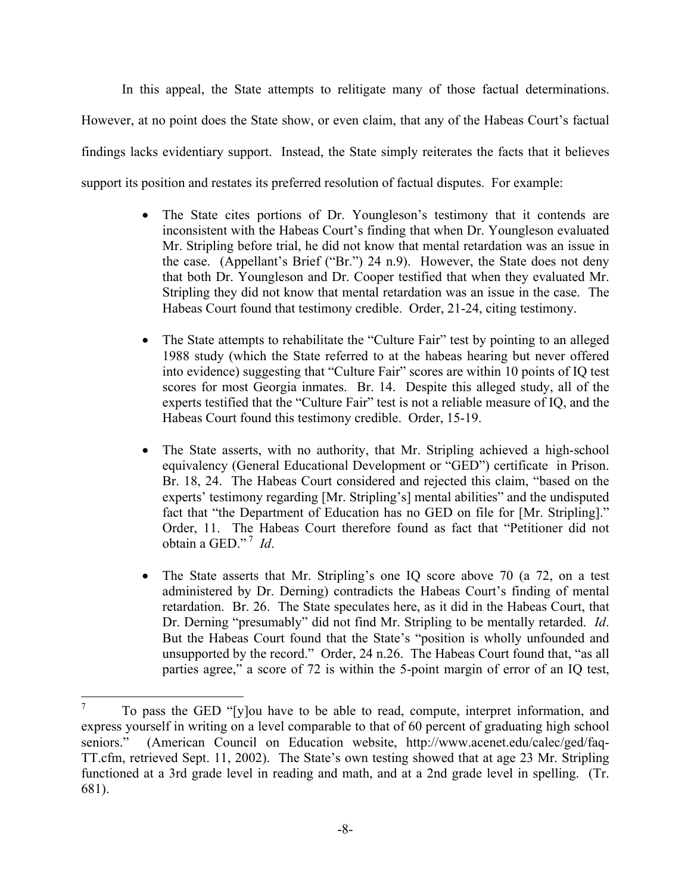In this appeal, the State attempts to relitigate many of those factual determinations. However, at no point does the State show, or even claim, that any of the Habeas Court's factual findings lacks evidentiary support. Instead, the State simply reiterates the facts that it believes support its position and restates its preferred resolution of factual disputes. For example:

- The State cites portions of Dr. Youngleson's testimony that it contends are inconsistent with the Habeas Court's finding that when Dr. Youngleson evaluated Mr. Stripling before trial, he did not know that mental retardation was an issue in the case. (Appellant's Brief ("Br.") 24 n.9). However, the State does not deny that both Dr. Youngleson and Dr. Cooper testified that when they evaluated Mr. Stripling they did not know that mental retardation was an issue in the case. The Habeas Court found that testimony credible. Order, 21-24, citing testimony.
- The State attempts to rehabilitate the "Culture Fair" test by pointing to an alleged 1988 study (which the State referred to at the habeas hearing but never offered into evidence) suggesting that "Culture Fair" scores are within 10 points of IQ test scores for most Georgia inmates. Br. 14. Despite this alleged study, all of the experts testified that the "Culture Fair" test is not a reliable measure of IQ, and the Habeas Court found this testimony credible. Order, 15-19.
- The State asserts, with no authority, that Mr. Stripling achieved a high-school equivalency (General Educational Development or "GED") certificate in Prison. Br. 18, 24. The Habeas Court considered and rejected this claim, "based on the experts' testimony regarding [Mr. Stripling's] mental abilities" and the undisputed fact that "the Department of Education has no GED on file for [Mr. Stripling]." Order, 11. The Habeas Court therefore found as fact that "Petitioner did not obtain a GED." 7 *Id*.
- The State asserts that Mr. Stripling's one IQ score above 70 (a 72, on a test administered by Dr. Derning) contradicts the Habeas Court's finding of mental retardation. Br. 26. The State speculates here, as it did in the Habeas Court, that Dr. Derning "presumably" did not find Mr. Stripling to be mentally retarded. *Id*. But the Habeas Court found that the State's "position is wholly unfounded and unsupported by the record." Order, 24 n.26. The Habeas Court found that, "as all parties agree," a score of 72 is within the 5-point margin of error of an IQ test,

<sup>&</sup>lt;sup>7</sup> To pass the GED "[y]ou have to be able to read, compute, interpret information, and express yourself in writing on a level comparable to that of 60 percent of graduating high school seniors." (American Council on Education website, http://www.acenet.edu/calec/ged/faq-TT.cfm, retrieved Sept. 11, 2002). The State's own testing showed that at age 23 Mr. Stripling functioned at a 3rd grade level in reading and math, and at a 2nd grade level in spelling. (Tr. 681).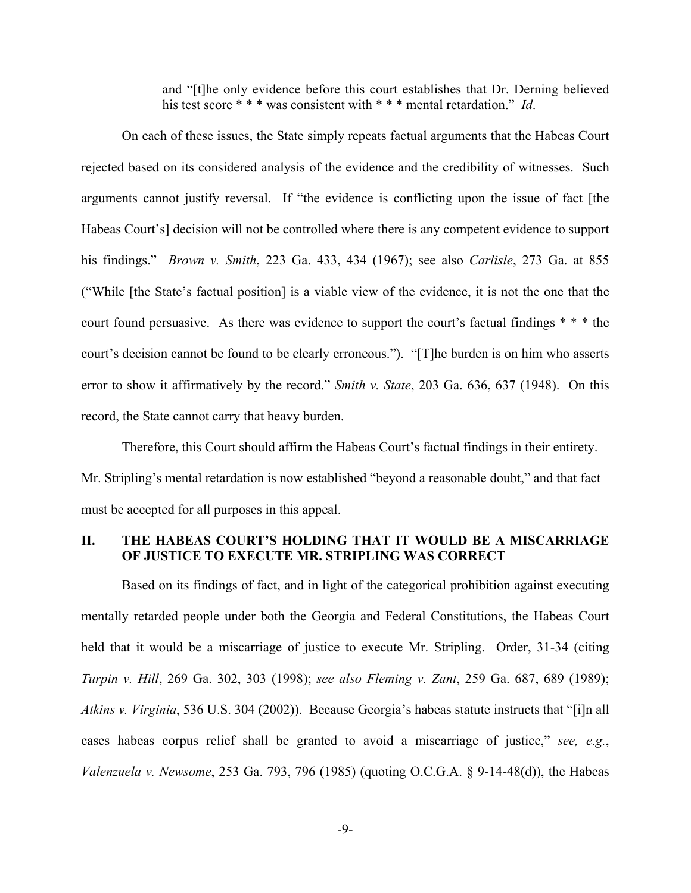and "[t]he only evidence before this court establishes that Dr. Derning believed his test score \* \* \* was consistent with \* \* \* mental retardation." *Id*.

On each of these issues, the State simply repeats factual arguments that the Habeas Court rejected based on its considered analysis of the evidence and the credibility of witnesses. Such arguments cannot justify reversal. If "the evidence is conflicting upon the issue of fact [the Habeas Court's] decision will not be controlled where there is any competent evidence to support his findings." *Brown v. Smith*, 223 Ga. 433, 434 (1967); see also *Carlisle*, 273 Ga. at 855 ("While [the State's factual position] is a viable view of the evidence, it is not the one that the court found persuasive. As there was evidence to support the court's factual findings \* \* \* the court's decision cannot be found to be clearly erroneous."). "[T]he burden is on him who asserts error to show it affirmatively by the record." *Smith v. State*, 203 Ga. 636, 637 (1948). On this record, the State cannot carry that heavy burden.

Therefore, this Court should affirm the Habeas Court's factual findings in their entirety. Mr. Stripling's mental retardation is now established "beyond a reasonable doubt," and that fact must be accepted for all purposes in this appeal.

## **II. THE HABEAS COURT'S HOLDING THAT IT WOULD BE A MISCARRIAGE OF JUSTICE TO EXECUTE MR. STRIPLING WAS CORRECT**

Based on its findings of fact, and in light of the categorical prohibition against executing mentally retarded people under both the Georgia and Federal Constitutions, the Habeas Court held that it would be a miscarriage of justice to execute Mr. Stripling. Order, 31-34 (citing *Turpin v. Hill*, 269 Ga. 302, 303 (1998); *see also Fleming v. Zant*, 259 Ga. 687, 689 (1989); *Atkins v. Virginia*, 536 U.S. 304 (2002)). Because Georgia's habeas statute instructs that "[i]n all cases habeas corpus relief shall be granted to avoid a miscarriage of justice," *see, e.g.*, *Valenzuela v. Newsome*, 253 Ga. 793, 796 (1985) (quoting O.C.G.A. § 9-14-48(d)), the Habeas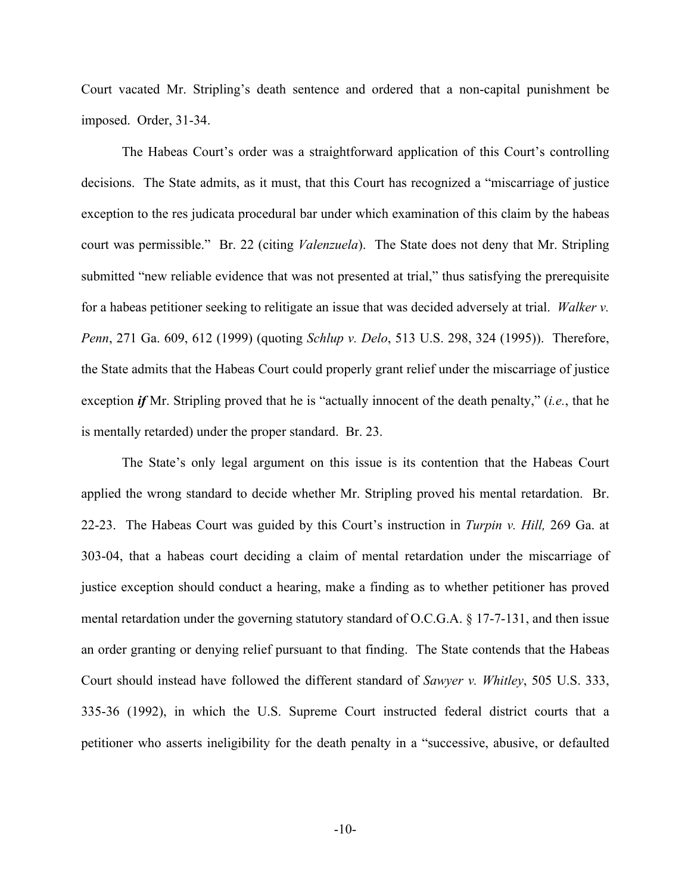Court vacated Mr. Stripling's death sentence and ordered that a non-capital punishment be imposed. Order, 31-34.

The Habeas Court's order was a straightforward application of this Court's controlling decisions. The State admits, as it must, that this Court has recognized a "miscarriage of justice exception to the res judicata procedural bar under which examination of this claim by the habeas court was permissible." Br. 22 (citing *Valenzuela*). The State does not deny that Mr. Stripling submitted "new reliable evidence that was not presented at trial," thus satisfying the prerequisite for a habeas petitioner seeking to relitigate an issue that was decided adversely at trial. *Walker v. Penn*, 271 Ga. 609, 612 (1999) (quoting *Schlup v. Delo*, 513 U.S. 298, 324 (1995)). Therefore, the State admits that the Habeas Court could properly grant relief under the miscarriage of justice exception *if* Mr. Stripling proved that he is "actually innocent of the death penalty," (*i.e.*, that he is mentally retarded) under the proper standard. Br. 23.

The State's only legal argument on this issue is its contention that the Habeas Court applied the wrong standard to decide whether Mr. Stripling proved his mental retardation. Br. 22-23. The Habeas Court was guided by this Court's instruction in *Turpin v. Hill,* 269 Ga. at 303-04, that a habeas court deciding a claim of mental retardation under the miscarriage of justice exception should conduct a hearing, make a finding as to whether petitioner has proved mental retardation under the governing statutory standard of O.C.G.A. § 17-7-131, and then issue an order granting or denying relief pursuant to that finding. The State contends that the Habeas Court should instead have followed the different standard of *Sawyer v. Whitley*, 505 U.S. 333, 335-36 (1992), in which the U.S. Supreme Court instructed federal district courts that a petitioner who asserts ineligibility for the death penalty in a "successive, abusive, or defaulted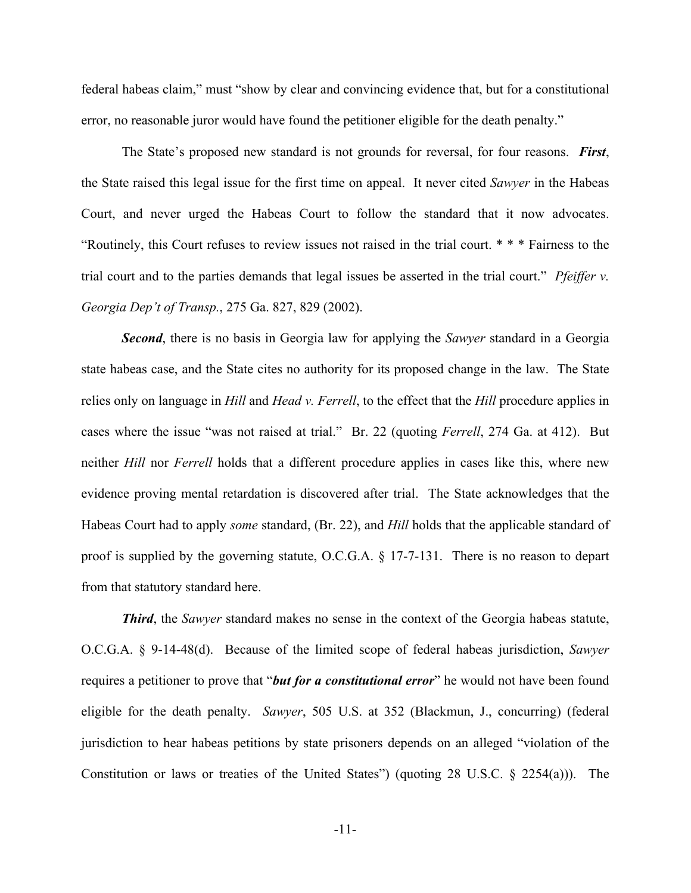federal habeas claim," must "show by clear and convincing evidence that, but for a constitutional error, no reasonable juror would have found the petitioner eligible for the death penalty."

The State's proposed new standard is not grounds for reversal, for four reasons. *First*, the State raised this legal issue for the first time on appeal. It never cited *Sawyer* in the Habeas Court, and never urged the Habeas Court to follow the standard that it now advocates. "Routinely, this Court refuses to review issues not raised in the trial court. \* \* \* Fairness to the trial court and to the parties demands that legal issues be asserted in the trial court." *Pfeiffer v. Georgia Dep't of Transp.*, 275 Ga. 827, 829 (2002).

*Second*, there is no basis in Georgia law for applying the *Sawyer* standard in a Georgia state habeas case, and the State cites no authority for its proposed change in the law. The State relies only on language in *Hill* and *Head v. Ferrell*, to the effect that the *Hill* procedure applies in cases where the issue "was not raised at trial." Br. 22 (quoting *Ferrell*, 274 Ga. at 412). But neither *Hill* nor *Ferrell* holds that a different procedure applies in cases like this, where new evidence proving mental retardation is discovered after trial. The State acknowledges that the Habeas Court had to apply *some* standard, (Br. 22), and *Hill* holds that the applicable standard of proof is supplied by the governing statute, O.C.G.A. § 17-7-131. There is no reason to depart from that statutory standard here.

*Third*, the *Sawyer* standard makes no sense in the context of the Georgia habeas statute, O.C.G.A. § 9-14-48(d). Because of the limited scope of federal habeas jurisdiction, *Sawyer* requires a petitioner to prove that "*but for a constitutional error*" he would not have been found eligible for the death penalty. *Sawyer*, 505 U.S. at 352 (Blackmun, J., concurring) (federal jurisdiction to hear habeas petitions by state prisoners depends on an alleged "violation of the Constitution or laws or treaties of the United States") (quoting 28 U.S.C. § 2254(a))). The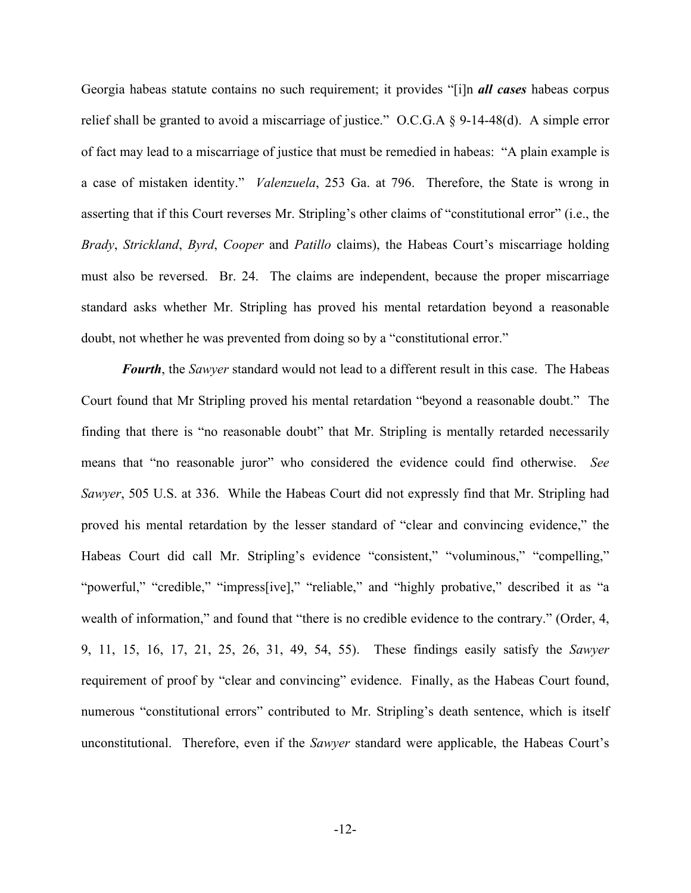Georgia habeas statute contains no such requirement; it provides "[i]n *all cases* habeas corpus relief shall be granted to avoid a miscarriage of justice." O.C.G.A § 9-14-48(d). A simple error of fact may lead to a miscarriage of justice that must be remedied in habeas: "A plain example is a case of mistaken identity." *Valenzuela*, 253 Ga. at 796. Therefore, the State is wrong in asserting that if this Court reverses Mr. Stripling's other claims of "constitutional error" (i.e., the *Brady*, *Strickland*, *Byrd*, *Cooper* and *Patillo* claims), the Habeas Court's miscarriage holding must also be reversed. Br. 24. The claims are independent, because the proper miscarriage standard asks whether Mr. Stripling has proved his mental retardation beyond a reasonable doubt, not whether he was prevented from doing so by a "constitutional error."

*Fourth*, the *Sawyer* standard would not lead to a different result in this case. The Habeas Court found that Mr Stripling proved his mental retardation "beyond a reasonable doubt." The finding that there is "no reasonable doubt" that Mr. Stripling is mentally retarded necessarily means that "no reasonable juror" who considered the evidence could find otherwise. *See Sawyer*, 505 U.S. at 336. While the Habeas Court did not expressly find that Mr. Stripling had proved his mental retardation by the lesser standard of "clear and convincing evidence," the Habeas Court did call Mr. Stripling's evidence "consistent," "voluminous," "compelling," "powerful," "credible," "impress[ive]," "reliable," and "highly probative," described it as "a wealth of information," and found that "there is no credible evidence to the contrary." (Order, 4, 9, 11, 15, 16, 17, 21, 25, 26, 31, 49, 54, 55). These findings easily satisfy the *Sawyer* requirement of proof by "clear and convincing" evidence. Finally, as the Habeas Court found, numerous "constitutional errors" contributed to Mr. Stripling's death sentence, which is itself unconstitutional. Therefore, even if the *Sawyer* standard were applicable, the Habeas Court's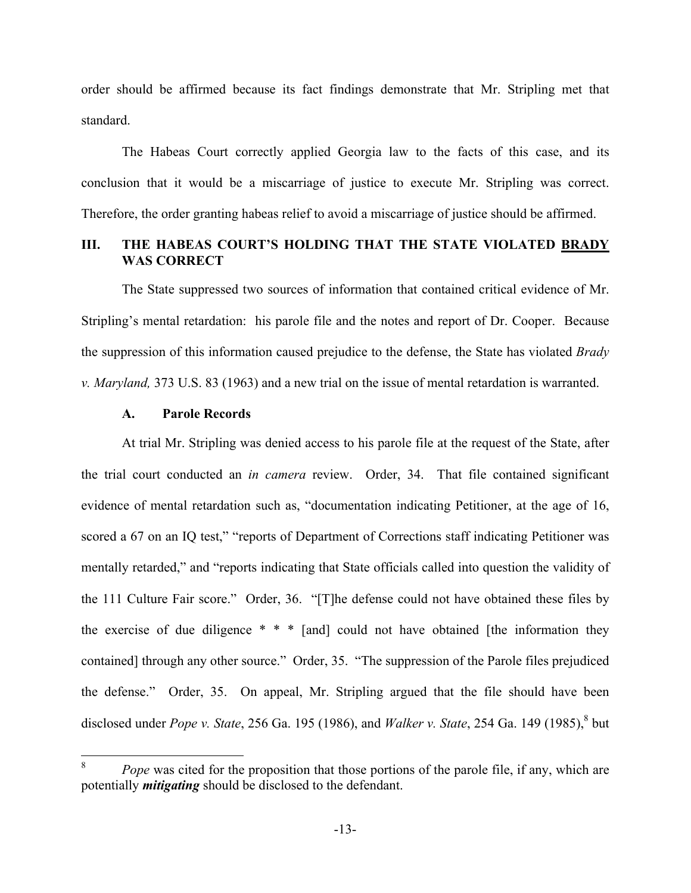order should be affirmed because its fact findings demonstrate that Mr. Stripling met that standard.

The Habeas Court correctly applied Georgia law to the facts of this case, and its conclusion that it would be a miscarriage of justice to execute Mr. Stripling was correct. Therefore, the order granting habeas relief to avoid a miscarriage of justice should be affirmed.

## **III. THE HABEAS COURT'S HOLDING THAT THE STATE VIOLATED BRADY WAS CORRECT**

The State suppressed two sources of information that contained critical evidence of Mr. Stripling's mental retardation: his parole file and the notes and report of Dr. Cooper. Because the suppression of this information caused prejudice to the defense, the State has violated *Brady v. Maryland,* 373 U.S. 83 (1963) and a new trial on the issue of mental retardation is warranted.

#### **A. Parole Records**

At trial Mr. Stripling was denied access to his parole file at the request of the State, after the trial court conducted an *in camera* review. Order, 34. That file contained significant evidence of mental retardation such as, "documentation indicating Petitioner, at the age of 16, scored a 67 on an IQ test," "reports of Department of Corrections staff indicating Petitioner was mentally retarded," and "reports indicating that State officials called into question the validity of the 111 Culture Fair score." Order, 36. "[T]he defense could not have obtained these files by the exercise of due diligence  $* * *$  [and] could not have obtained [the information they contained] through any other source." Order, 35. "The suppression of the Parole files prejudiced the defense." Order, 35. On appeal, Mr. Stripling argued that the file should have been disclosed under *Pope v. State*, 256 Ga. 195 (1986), and *Walker v. State*, 254 Ga. 149 (1985), <sup>8</sup> but

<sup>&</sup>lt;sup>8</sup> *Pope* was cited for the proposition that those portions of the parole file, if any, which are potentially *mitigating* should be disclosed to the defendant.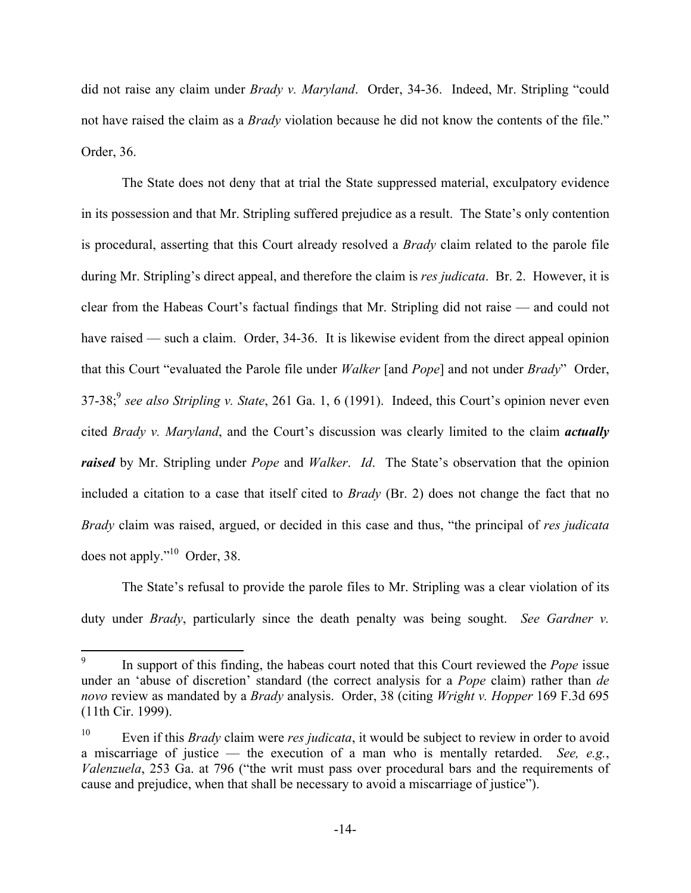did not raise any claim under *Brady v. Maryland*. Order, 34-36. Indeed, Mr. Stripling "could not have raised the claim as a *Brady* violation because he did not know the contents of the file." Order, 36.

The State does not deny that at trial the State suppressed material, exculpatory evidence in its possession and that Mr. Stripling suffered prejudice as a result. The State's only contention is procedural, asserting that this Court already resolved a *Brady* claim related to the parole file during Mr. Stripling's direct appeal, and therefore the claim is *res judicata*. Br. 2. However, it is clear from the Habeas Court's factual findings that Mr. Stripling did not raise — and could not have raised — such a claim. Order, 34-36. It is likewise evident from the direct appeal opinion that this Court "evaluated the Parole file under *Walker* [and *Pope*] and not under *Brady*" Order, 37-38;9 *see also Stripling v. State*, 261 Ga. 1, 6 (1991). Indeed, this Court's opinion never even cited *Brady v. Maryland*, and the Court's discussion was clearly limited to the claim *actually raised* by Mr. Stripling under *Pope* and *Walker*. *Id*. The State's observation that the opinion included a citation to a case that itself cited to *Brady* (Br. 2) does not change the fact that no *Brady* claim was raised, argued, or decided in this case and thus, "the principal of *res judicata* does not apply."10 Order, 38.

The State's refusal to provide the parole files to Mr. Stripling was a clear violation of its duty under *Brady*, particularly since the death penalty was being sought. *See Gardner v.* 

<sup>&</sup>lt;sup>9</sup> In support of this finding, the habeas court noted that this Court reviewed the *Pope* issue under an 'abuse of discretion' standard (the correct analysis for a *Pope* claim) rather than *de novo* review as mandated by a *Brady* analysis. Order, 38 (citing *Wright v. Hopper* 169 F.3d 695 (11th Cir. 1999).

<sup>10</sup> Even if this *Brady* claim were *res judicata*, it would be subject to review in order to avoid a miscarriage of justice — the execution of a man who is mentally retarded. *See, e.g.*, *Valenzuela*, 253 Ga. at 796 ("the writ must pass over procedural bars and the requirements of cause and prejudice, when that shall be necessary to avoid a miscarriage of justice").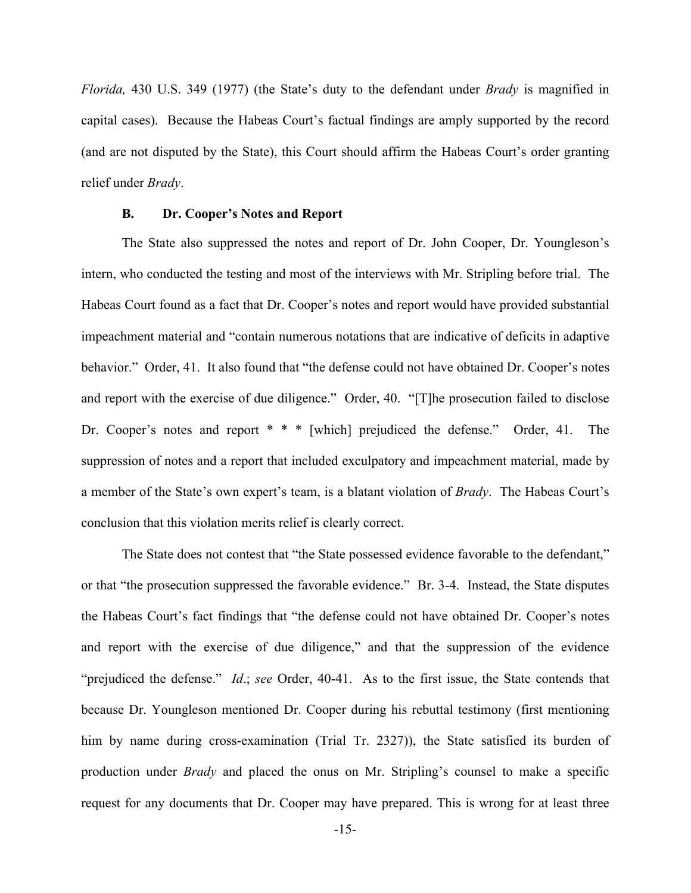*Florida,* 430 U.S. 349 (1977) (the State's duty to the defendant under *Brady* is magnified in capital cases). Because the Habeas Court's factual findings are amply supported by the record (and are not disputed by the State), this Court should affirm the Habeas Court's order granting relief under *Brady*.

#### **B. Dr. Cooper's Notes and Report**

The State also suppressed the notes and report of Dr. John Cooper, Dr. Youngleson's intern, who conducted the testing and most of the interviews with Mr. Stripling before trial. The Habeas Court found as a fact that Dr. Cooper's notes and report would have provided substantial impeachment material and "contain numerous notations that are indicative of deficits in adaptive behavior." Order, 41. It also found that "the defense could not have obtained Dr. Cooper's notes and report with the exercise of due diligence." Order, 40. "[T]he prosecution failed to disclose Dr. Cooper's notes and report \* \* \* [which] prejudiced the defense." Order, 41. The suppression of notes and a report that included exculpatory and impeachment material, made by a member of the State's own expert's team, is a blatant violation of *Brady*. The Habeas Court's conclusion that this violation merits relief is clearly correct.

The State does not contest that "the State possessed evidence favorable to the defendant," or that "the prosecution suppressed the favorable evidence." Br. 3-4. Instead, the State disputes the Habeas Court's fact findings that "the defense could not have obtained Dr. Cooper's notes and report with the exercise of due diligence," and that the suppression of the evidence "prejudiced the defense." *Id*.; *see* Order, 40-41. As to the first issue, the State contends that because Dr. Youngleson mentioned Dr. Cooper during his rebuttal testimony (first mentioning him by name during cross-examination (Trial Tr. 2327)), the State satisfied its burden of production under *Brady* and placed the onus on Mr. Stripling's counsel to make a specific request for any documents that Dr. Cooper may have prepared. This is wrong for at least three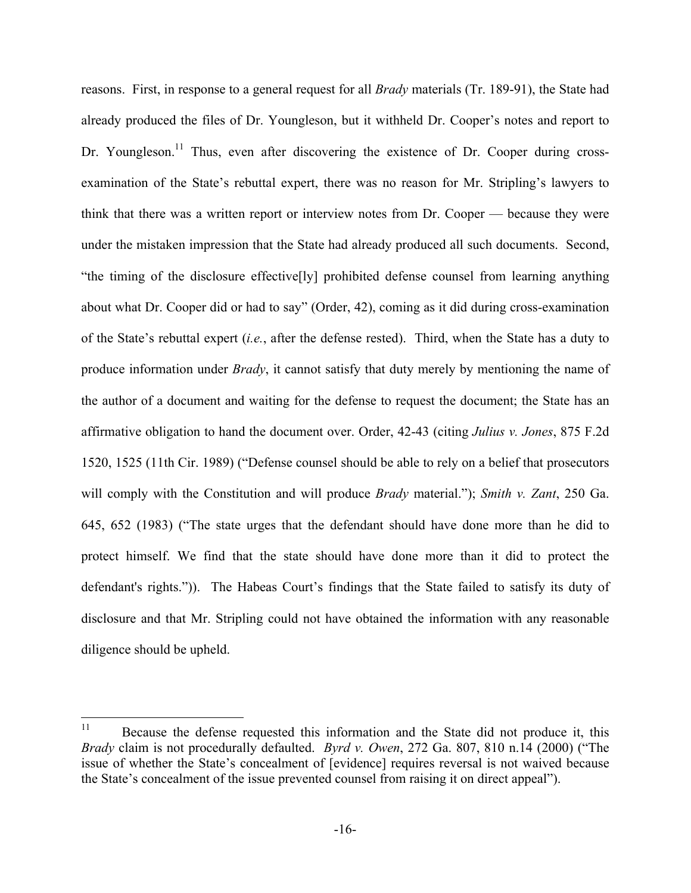reasons. First, in response to a general request for all *Brady* materials (Tr. 189-91), the State had already produced the files of Dr. Youngleson, but it withheld Dr. Cooper's notes and report to Dr. Youngleson.<sup>11</sup> Thus, even after discovering the existence of Dr. Cooper during crossexamination of the State's rebuttal expert, there was no reason for Mr. Stripling's lawyers to think that there was a written report or interview notes from Dr. Cooper — because they were under the mistaken impression that the State had already produced all such documents. Second, "the timing of the disclosure effective[ly] prohibited defense counsel from learning anything about what Dr. Cooper did or had to say" (Order, 42), coming as it did during cross-examination of the State's rebuttal expert (*i.e.*, after the defense rested). Third, when the State has a duty to produce information under *Brady*, it cannot satisfy that duty merely by mentioning the name of the author of a document and waiting for the defense to request the document; the State has an affirmative obligation to hand the document over. Order, 42-43 (citing *Julius v. Jones*, 875 F.2d 1520, 1525 (11th Cir. 1989) ("Defense counsel should be able to rely on a belief that prosecutors will comply with the Constitution and will produce *Brady* material."); *Smith v. Zant*, 250 Ga. 645, 652 (1983) ("The state urges that the defendant should have done more than he did to protect himself. We find that the state should have done more than it did to protect the defendant's rights.")). The Habeas Court's findings that the State failed to satisfy its duty of disclosure and that Mr. Stripling could not have obtained the information with any reasonable diligence should be upheld.

<sup>&</sup>lt;sup>11</sup> Because the defense requested this information and the State did not produce it, this *Brady* claim is not procedurally defaulted. *Byrd v. Owen*, 272 Ga. 807, 810 n.14 (2000) ("The issue of whether the State's concealment of [evidence] requires reversal is not waived because the State's concealment of the issue prevented counsel from raising it on direct appeal").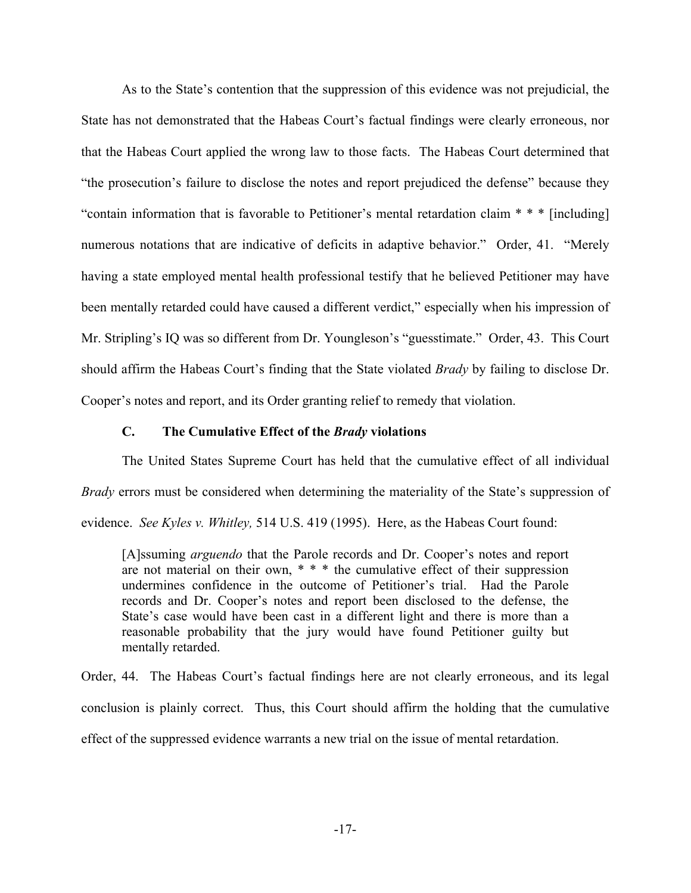As to the State's contention that the suppression of this evidence was not prejudicial, the State has not demonstrated that the Habeas Court's factual findings were clearly erroneous, nor that the Habeas Court applied the wrong law to those facts. The Habeas Court determined that "the prosecution's failure to disclose the notes and report prejudiced the defense" because they "contain information that is favorable to Petitioner's mental retardation claim \* \* \* [including] numerous notations that are indicative of deficits in adaptive behavior." Order, 41. "Merely having a state employed mental health professional testify that he believed Petitioner may have been mentally retarded could have caused a different verdict," especially when his impression of Mr. Stripling's IQ was so different from Dr. Youngleson's "guesstimate." Order, 43. This Court should affirm the Habeas Court's finding that the State violated *Brady* by failing to disclose Dr. Cooper's notes and report, and its Order granting relief to remedy that violation.

#### **C. The Cumulative Effect of the** *Brady* **violations**

 The United States Supreme Court has held that the cumulative effect of all individual *Brady* errors must be considered when determining the materiality of the State's suppression of evidence. *See Kyles v. Whitley,* 514 U.S. 419 (1995). Here, as the Habeas Court found:

[A]ssuming *arguendo* that the Parole records and Dr. Cooper's notes and report are not material on their own, \* \* \* the cumulative effect of their suppression undermines confidence in the outcome of Petitioner's trial. Had the Parole records and Dr. Cooper's notes and report been disclosed to the defense, the State's case would have been cast in a different light and there is more than a reasonable probability that the jury would have found Petitioner guilty but mentally retarded.

Order, 44. The Habeas Court's factual findings here are not clearly erroneous, and its legal conclusion is plainly correct. Thus, this Court should affirm the holding that the cumulative effect of the suppressed evidence warrants a new trial on the issue of mental retardation.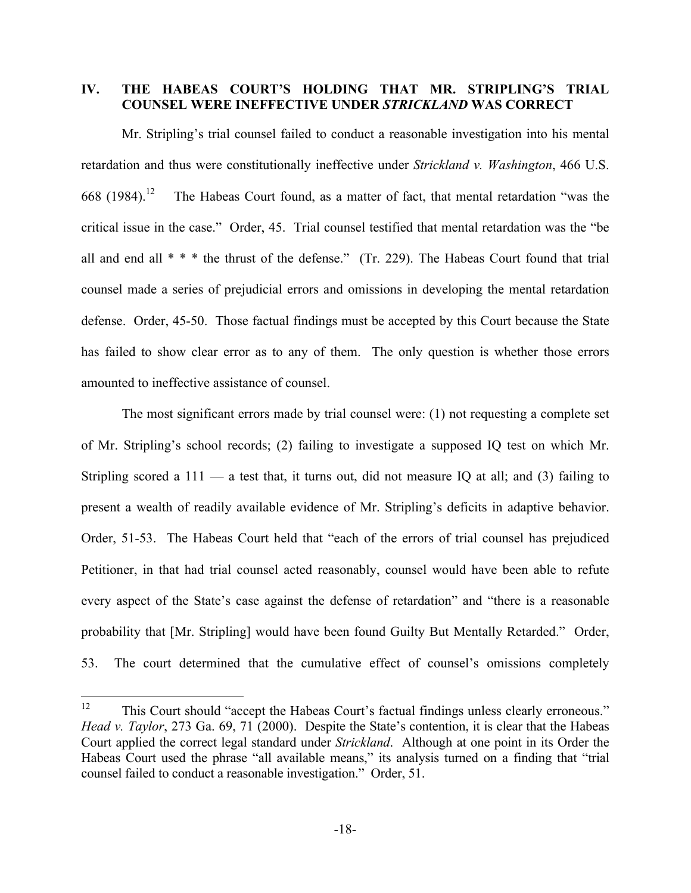## **IV. THE HABEAS COURT'S HOLDING THAT MR. STRIPLING'S TRIAL COUNSEL WERE INEFFECTIVE UNDER** *STRICKLAND* **WAS CORRECT**

Mr. Stripling's trial counsel failed to conduct a reasonable investigation into his mental retardation and thus were constitutionally ineffective under *Strickland v. Washington*, 466 U.S. 668 (1984).<sup>12</sup> The Habeas Court found, as a matter of fact, that mental retardation "was the critical issue in the case." Order, 45. Trial counsel testified that mental retardation was the "be all and end all \* \* \* the thrust of the defense." (Tr. 229). The Habeas Court found that trial counsel made a series of prejudicial errors and omissions in developing the mental retardation defense. Order, 45-50. Those factual findings must be accepted by this Court because the State has failed to show clear error as to any of them. The only question is whether those errors amounted to ineffective assistance of counsel.

The most significant errors made by trial counsel were: (1) not requesting a complete set of Mr. Stripling's school records; (2) failing to investigate a supposed IQ test on which Mr. Stripling scored a  $111 - a$  test that, it turns out, did not measure IQ at all; and (3) failing to present a wealth of readily available evidence of Mr. Stripling's deficits in adaptive behavior. Order, 51-53. The Habeas Court held that "each of the errors of trial counsel has prejudiced Petitioner, in that had trial counsel acted reasonably, counsel would have been able to refute every aspect of the State's case against the defense of retardation" and "there is a reasonable probability that [Mr. Stripling] would have been found Guilty But Mentally Retarded." Order, 53. The court determined that the cumulative effect of counsel's omissions completely

<sup>&</sup>lt;sup>12</sup> This Court should "accept the Habeas Court's factual findings unless clearly erroneous." *Head v. Taylor*, 273 Ga. 69, 71 (2000). Despite the State's contention, it is clear that the Habeas Court applied the correct legal standard under *Strickland*. Although at one point in its Order the Habeas Court used the phrase "all available means," its analysis turned on a finding that "trial counsel failed to conduct a reasonable investigation." Order, 51.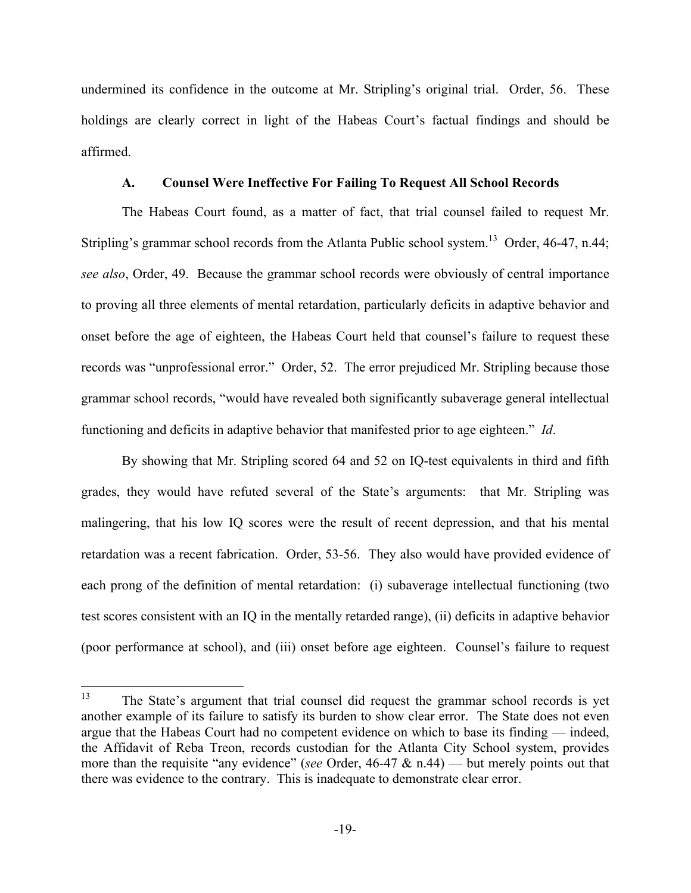undermined its confidence in the outcome at Mr. Stripling's original trial. Order, 56. These holdings are clearly correct in light of the Habeas Court's factual findings and should be affirmed.

#### **A. Counsel Were Ineffective For Failing To Request All School Records**

The Habeas Court found, as a matter of fact, that trial counsel failed to request Mr. Stripling's grammar school records from the Atlanta Public school system.<sup>13</sup> Order, 46-47, n.44; *see also*, Order, 49. Because the grammar school records were obviously of central importance to proving all three elements of mental retardation, particularly deficits in adaptive behavior and onset before the age of eighteen, the Habeas Court held that counsel's failure to request these records was "unprofessional error." Order, 52. The error prejudiced Mr. Stripling because those grammar school records, "would have revealed both significantly subaverage general intellectual functioning and deficits in adaptive behavior that manifested prior to age eighteen." *Id*.

By showing that Mr. Stripling scored 64 and 52 on IQ-test equivalents in third and fifth grades, they would have refuted several of the State's arguments: that Mr. Stripling was malingering, that his low IQ scores were the result of recent depression, and that his mental retardation was a recent fabrication. Order, 53-56. They also would have provided evidence of each prong of the definition of mental retardation: (i) subaverage intellectual functioning (two test scores consistent with an IQ in the mentally retarded range), (ii) deficits in adaptive behavior (poor performance at school), and (iii) onset before age eighteen. Counsel's failure to request

<sup>&</sup>lt;sup>13</sup> The State's argument that trial counsel did request the grammar school records is yet another example of its failure to satisfy its burden to show clear error. The State does not even argue that the Habeas Court had no competent evidence on which to base its finding — indeed, the Affidavit of Reba Treon, records custodian for the Atlanta City School system, provides more than the requisite "any evidence" (*see* Order, 46-47 & n.44) — but merely points out that there was evidence to the contrary. This is inadequate to demonstrate clear error.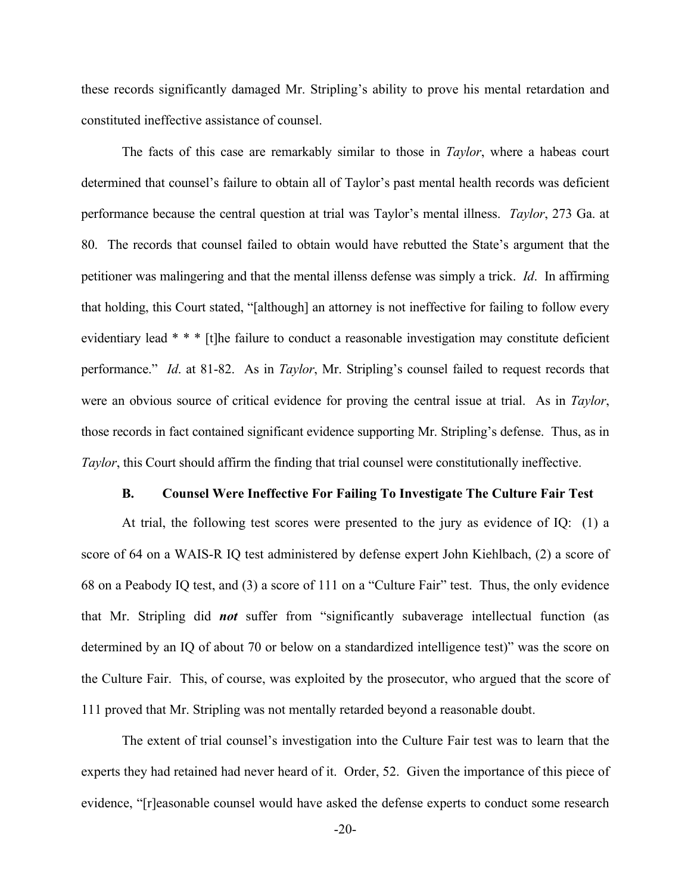these records significantly damaged Mr. Stripling's ability to prove his mental retardation and constituted ineffective assistance of counsel.

The facts of this case are remarkably similar to those in *Taylor*, where a habeas court determined that counsel's failure to obtain all of Taylor's past mental health records was deficient performance because the central question at trial was Taylor's mental illness. *Taylor*, 273 Ga. at 80. The records that counsel failed to obtain would have rebutted the State's argument that the petitioner was malingering and that the mental illenss defense was simply a trick. *Id*. In affirming that holding, this Court stated, "[although] an attorney is not ineffective for failing to follow every evidentiary lead \* \* \* [t]he failure to conduct a reasonable investigation may constitute deficient performance." *Id*. at 81-82. As in *Taylor*, Mr. Stripling's counsel failed to request records that were an obvious source of critical evidence for proving the central issue at trial. As in *Taylor*, those records in fact contained significant evidence supporting Mr. Stripling's defense. Thus, as in *Taylor*, this Court should affirm the finding that trial counsel were constitutionally ineffective.

#### **B. Counsel Were Ineffective For Failing To Investigate The Culture Fair Test**

At trial, the following test scores were presented to the jury as evidence of IQ: (1) a score of 64 on a WAIS-R IQ test administered by defense expert John Kiehlbach, (2) a score of 68 on a Peabody IQ test, and (3) a score of 111 on a "Culture Fair" test. Thus, the only evidence that Mr. Stripling did *not* suffer from "significantly subaverage intellectual function (as determined by an IQ of about 70 or below on a standardized intelligence test)" was the score on the Culture Fair. This, of course, was exploited by the prosecutor, who argued that the score of 111 proved that Mr. Stripling was not mentally retarded beyond a reasonable doubt.

The extent of trial counsel's investigation into the Culture Fair test was to learn that the experts they had retained had never heard of it. Order, 52. Given the importance of this piece of evidence, "[r]easonable counsel would have asked the defense experts to conduct some research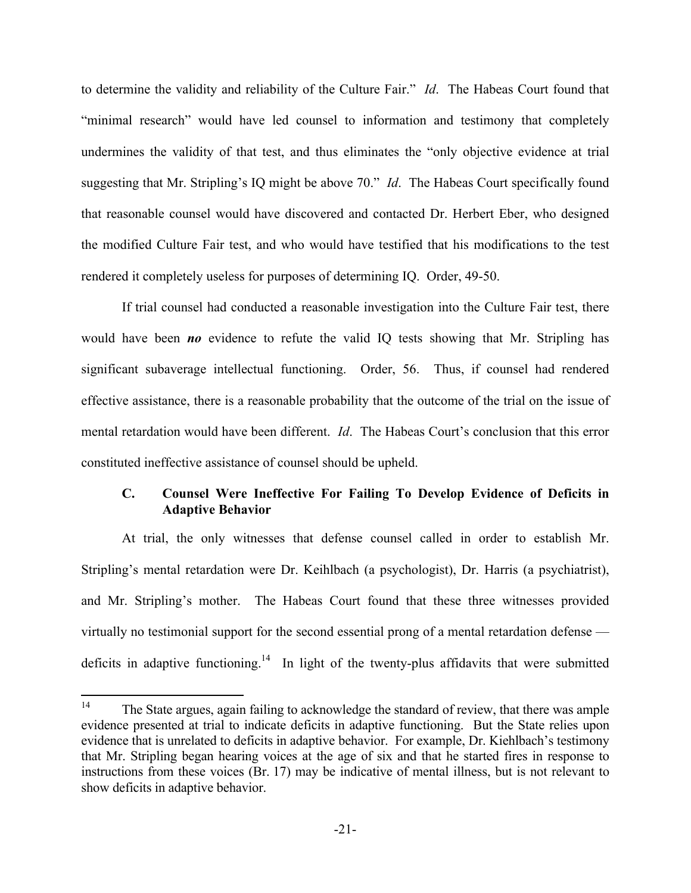to determine the validity and reliability of the Culture Fair." *Id*. The Habeas Court found that "minimal research" would have led counsel to information and testimony that completely undermines the validity of that test, and thus eliminates the "only objective evidence at trial suggesting that Mr. Stripling's IQ might be above 70." *Id*. The Habeas Court specifically found that reasonable counsel would have discovered and contacted Dr. Herbert Eber, who designed the modified Culture Fair test, and who would have testified that his modifications to the test rendered it completely useless for purposes of determining IQ. Order, 49-50.

If trial counsel had conducted a reasonable investigation into the Culture Fair test, there would have been *no* evidence to refute the valid IQ tests showing that Mr. Stripling has significant subaverage intellectual functioning. Order, 56. Thus, if counsel had rendered effective assistance, there is a reasonable probability that the outcome of the trial on the issue of mental retardation would have been different. *Id*. The Habeas Court's conclusion that this error constituted ineffective assistance of counsel should be upheld.

## **C. Counsel Were Ineffective For Failing To Develop Evidence of Deficits in Adaptive Behavior**

At trial, the only witnesses that defense counsel called in order to establish Mr. Stripling's mental retardation were Dr. Keihlbach (a psychologist), Dr. Harris (a psychiatrist), and Mr. Stripling's mother. The Habeas Court found that these three witnesses provided virtually no testimonial support for the second essential prong of a mental retardation defense deficits in adaptive functioning.<sup>14</sup> In light of the twenty-plus affidavits that were submitted

<sup>&</sup>lt;sup>14</sup> The State argues, again failing to acknowledge the standard of review, that there was ample evidence presented at trial to indicate deficits in adaptive functioning. But the State relies upon evidence that is unrelated to deficits in adaptive behavior. For example, Dr. Kiehlbach's testimony that Mr. Stripling began hearing voices at the age of six and that he started fires in response to instructions from these voices (Br. 17) may be indicative of mental illness, but is not relevant to show deficits in adaptive behavior.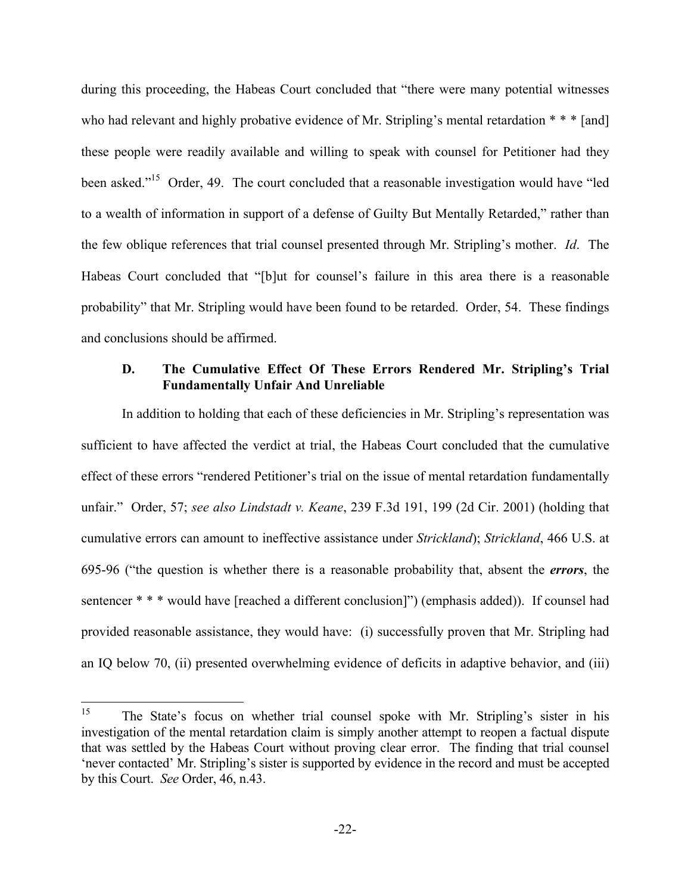during this proceeding, the Habeas Court concluded that "there were many potential witnesses who had relevant and highly probative evidence of Mr. Stripling's mental retardation \* \* \* [and] these people were readily available and willing to speak with counsel for Petitioner had they been asked."<sup>15</sup> Order, 49. The court concluded that a reasonable investigation would have "led to a wealth of information in support of a defense of Guilty But Mentally Retarded," rather than the few oblique references that trial counsel presented through Mr. Stripling's mother. *Id*. The Habeas Court concluded that "[b]ut for counsel's failure in this area there is a reasonable probability" that Mr. Stripling would have been found to be retarded. Order, 54. These findings and conclusions should be affirmed.

### **D. The Cumulative Effect Of These Errors Rendered Mr. Stripling's Trial Fundamentally Unfair And Unreliable**

In addition to holding that each of these deficiencies in Mr. Stripling's representation was sufficient to have affected the verdict at trial, the Habeas Court concluded that the cumulative effect of these errors "rendered Petitioner's trial on the issue of mental retardation fundamentally unfair." Order, 57; *see also Lindstadt v. Keane*, 239 F.3d 191, 199 (2d Cir. 2001) (holding that cumulative errors can amount to ineffective assistance under *Strickland*); *Strickland*, 466 U.S. at 695-96 ("the question is whether there is a reasonable probability that, absent the *errors*, the sentencer \* \* \* would have [reached a different conclusion]") (emphasis added)). If counsel had provided reasonable assistance, they would have: (i) successfully proven that Mr. Stripling had an IQ below 70, (ii) presented overwhelming evidence of deficits in adaptive behavior, and (iii)

<sup>&</sup>lt;sup>15</sup> The State's focus on whether trial counsel spoke with Mr. Stripling's sister in his investigation of the mental retardation claim is simply another attempt to reopen a factual dispute that was settled by the Habeas Court without proving clear error. The finding that trial counsel 'never contacted' Mr. Stripling's sister is supported by evidence in the record and must be accepted by this Court. *See* Order, 46, n.43.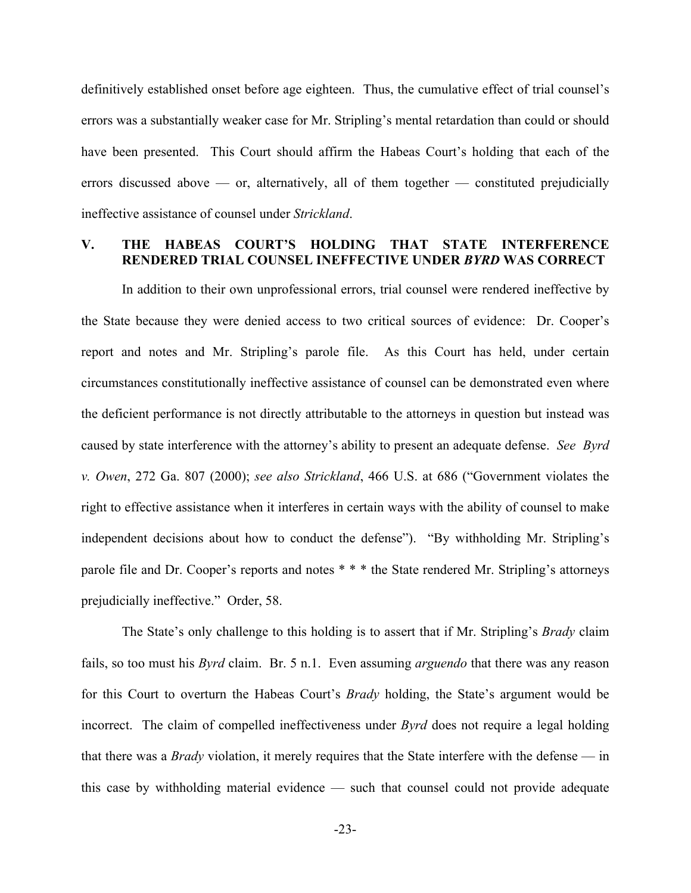definitively established onset before age eighteen. Thus, the cumulative effect of trial counsel's errors was a substantially weaker case for Mr. Stripling's mental retardation than could or should have been presented. This Court should affirm the Habeas Court's holding that each of the errors discussed above — or, alternatively, all of them together — constituted prejudicially ineffective assistance of counsel under *Strickland*.

#### **V. THE HABEAS COURT'S HOLDING THAT STATE INTERFERENCE RENDERED TRIAL COUNSEL INEFFECTIVE UNDER** *BYRD* **WAS CORRECT**

In addition to their own unprofessional errors, trial counsel were rendered ineffective by the State because they were denied access to two critical sources of evidence: Dr. Cooper's report and notes and Mr. Stripling's parole file. As this Court has held, under certain circumstances constitutionally ineffective assistance of counsel can be demonstrated even where the deficient performance is not directly attributable to the attorneys in question but instead was caused by state interference with the attorney's ability to present an adequate defense. *See Byrd v. Owen*, 272 Ga. 807 (2000); *see also Strickland*, 466 U.S. at 686 ("Government violates the right to effective assistance when it interferes in certain ways with the ability of counsel to make independent decisions about how to conduct the defense"). "By withholding Mr. Stripling's parole file and Dr. Cooper's reports and notes \* \* \* the State rendered Mr. Stripling's attorneys prejudicially ineffective." Order, 58.

The State's only challenge to this holding is to assert that if Mr. Stripling's *Brady* claim fails, so too must his *Byrd* claim. Br. 5 n.1. Even assuming *arguendo* that there was any reason for this Court to overturn the Habeas Court's *Brady* holding, the State's argument would be incorrect. The claim of compelled ineffectiveness under *Byrd* does not require a legal holding that there was a *Brady* violation, it merely requires that the State interfere with the defense — in this case by withholding material evidence — such that counsel could not provide adequate

-23-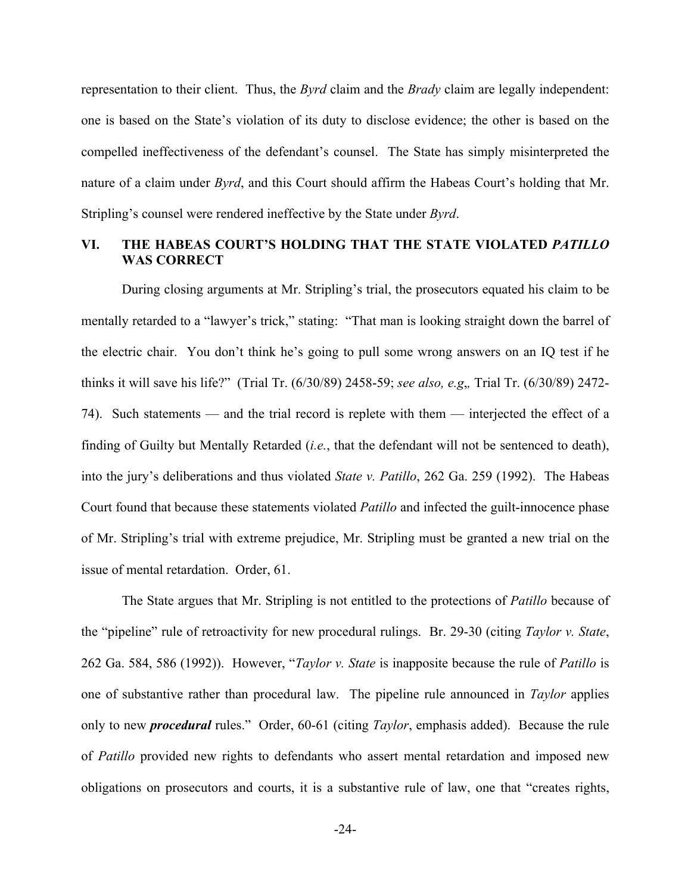representation to their client. Thus, the *Byrd* claim and the *Brady* claim are legally independent: one is based on the State's violation of its duty to disclose evidence; the other is based on the compelled ineffectiveness of the defendant's counsel. The State has simply misinterpreted the nature of a claim under *Byrd*, and this Court should affirm the Habeas Court's holding that Mr. Stripling's counsel were rendered ineffective by the State under *Byrd*.

## **VI. THE HABEAS COURT'S HOLDING THAT THE STATE VIOLATED** *PATILLO* **WAS CORRECT**

 During closing arguments at Mr. Stripling's trial, the prosecutors equated his claim to be mentally retarded to a "lawyer's trick," stating: "That man is looking straight down the barrel of the electric chair. You don't think he's going to pull some wrong answers on an IQ test if he thinks it will save his life?" (Trial Tr. (6/30/89) 2458-59; *see also, e.g*,*,* Trial Tr. (6/30/89) 2472- 74). Such statements — and the trial record is replete with them — interjected the effect of a finding of Guilty but Mentally Retarded (*i.e.*, that the defendant will not be sentenced to death), into the jury's deliberations and thus violated *State v. Patillo*, 262 Ga. 259 (1992). The Habeas Court found that because these statements violated *Patillo* and infected the guilt-innocence phase of Mr. Stripling's trial with extreme prejudice, Mr. Stripling must be granted a new trial on the issue of mental retardation. Order, 61.

 The State argues that Mr. Stripling is not entitled to the protections of *Patillo* because of the "pipeline" rule of retroactivity for new procedural rulings. Br. 29-30 (citing *Taylor v. State*, 262 Ga. 584, 586 (1992)). However, "*Taylor v. State* is inapposite because the rule of *Patillo* is one of substantive rather than procedural law. The pipeline rule announced in *Taylor* applies only to new *procedural* rules." Order, 60-61 (citing *Taylor*, emphasis added). Because the rule of *Patillo* provided new rights to defendants who assert mental retardation and imposed new obligations on prosecutors and courts, it is a substantive rule of law, one that "creates rights,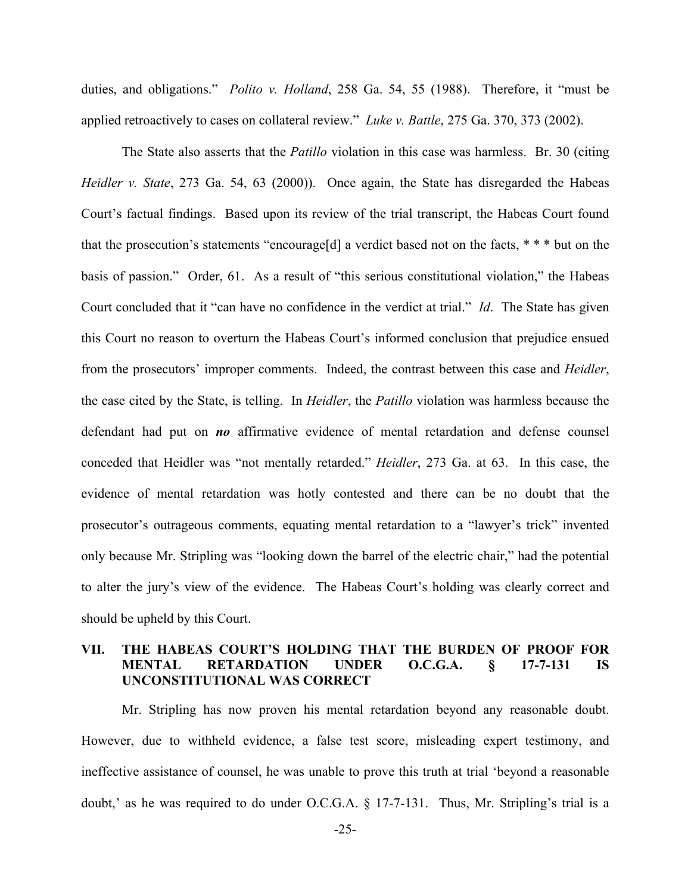duties, and obligations." *Polito v. Holland*, 258 Ga. 54, 55 (1988). Therefore, it "must be applied retroactively to cases on collateral review." *Luke v. Battle*, 275 Ga. 370, 373 (2002).

 The State also asserts that the *Patillo* violation in this case was harmless. Br. 30 (citing *Heidler v. State*, 273 Ga. 54, 63 (2000)). Once again, the State has disregarded the Habeas Court's factual findings. Based upon its review of the trial transcript, the Habeas Court found that the prosecution's statements "encourage[d] a verdict based not on the facts, \* \* \* but on the basis of passion." Order, 61. As a result of "this serious constitutional violation," the Habeas Court concluded that it "can have no confidence in the verdict at trial." *Id*. The State has given this Court no reason to overturn the Habeas Court's informed conclusion that prejudice ensued from the prosecutors' improper comments. Indeed, the contrast between this case and *Heidler*, the case cited by the State, is telling. In *Heidler*, the *Patillo* violation was harmless because the defendant had put on *no* affirmative evidence of mental retardation and defense counsel conceded that Heidler was "not mentally retarded." *Heidler*, 273 Ga. at 63. In this case, the evidence of mental retardation was hotly contested and there can be no doubt that the prosecutor's outrageous comments, equating mental retardation to a "lawyer's trick" invented only because Mr. Stripling was "looking down the barrel of the electric chair," had the potential to alter the jury's view of the evidence. The Habeas Court's holding was clearly correct and should be upheld by this Court.

## **VII. THE HABEAS COURT'S HOLDING THAT THE BURDEN OF PROOF FOR MENTAL RETARDATION UNDER O.C.G.A. § 17-7-131 IS UNCONSTITUTIONAL WAS CORRECT**

 Mr. Stripling has now proven his mental retardation beyond any reasonable doubt. However, due to withheld evidence, a false test score, misleading expert testimony, and ineffective assistance of counsel, he was unable to prove this truth at trial 'beyond a reasonable doubt,' as he was required to do under O.C.G.A. § 17-7-131. Thus, Mr. Stripling's trial is a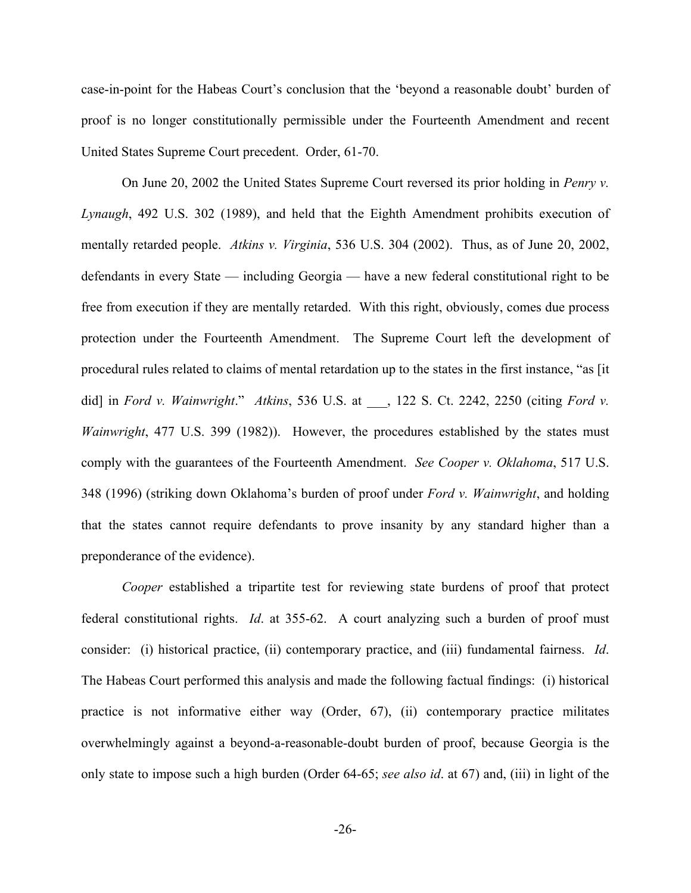case-in-point for the Habeas Court's conclusion that the 'beyond a reasonable doubt' burden of proof is no longer constitutionally permissible under the Fourteenth Amendment and recent United States Supreme Court precedent. Order, 61-70.

 On June 20, 2002 the United States Supreme Court reversed its prior holding in *Penry v. Lynaugh*, 492 U.S. 302 (1989), and held that the Eighth Amendment prohibits execution of mentally retarded people. *Atkins v. Virginia*, 536 U.S. 304 (2002). Thus, as of June 20, 2002, defendants in every State — including Georgia — have a new federal constitutional right to be free from execution if they are mentally retarded. With this right, obviously, comes due process protection under the Fourteenth Amendment. The Supreme Court left the development of procedural rules related to claims of mental retardation up to the states in the first instance, "as [it did] in *Ford v. Wainwright*." *Atkins*, 536 U.S. at \_\_\_, 122 S. Ct. 2242, 2250 (citing *Ford v. Wainwright*, 477 U.S. 399 (1982)). However, the procedures established by the states must comply with the guarantees of the Fourteenth Amendment. *See Cooper v. Oklahoma*, 517 U.S. 348 (1996) (striking down Oklahoma's burden of proof under *Ford v. Wainwright*, and holding that the states cannot require defendants to prove insanity by any standard higher than a preponderance of the evidence).

*Cooper* established a tripartite test for reviewing state burdens of proof that protect federal constitutional rights. *Id*. at 355-62. A court analyzing such a burden of proof must consider: (i) historical practice, (ii) contemporary practice, and (iii) fundamental fairness. *Id*. The Habeas Court performed this analysis and made the following factual findings: (i) historical practice is not informative either way (Order, 67), (ii) contemporary practice militates overwhelmingly against a beyond-a-reasonable-doubt burden of proof, because Georgia is the only state to impose such a high burden (Order 64-65; *see also id*. at 67) and, (iii) in light of the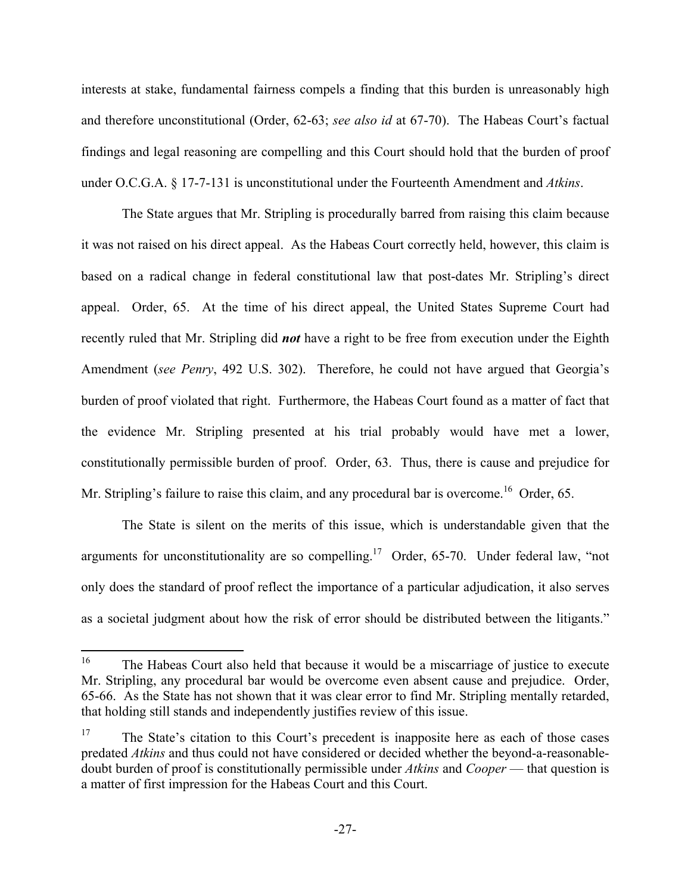interests at stake, fundamental fairness compels a finding that this burden is unreasonably high and therefore unconstitutional (Order, 62-63; *see also id* at 67-70). The Habeas Court's factual findings and legal reasoning are compelling and this Court should hold that the burden of proof under O.C.G.A. § 17-7-131 is unconstitutional under the Fourteenth Amendment and *Atkins*.

 The State argues that Mr. Stripling is procedurally barred from raising this claim because it was not raised on his direct appeal. As the Habeas Court correctly held, however, this claim is based on a radical change in federal constitutional law that post-dates Mr. Stripling's direct appeal. Order, 65. At the time of his direct appeal, the United States Supreme Court had recently ruled that Mr. Stripling did *not* have a right to be free from execution under the Eighth Amendment (*see Penry*, 492 U.S. 302). Therefore, he could not have argued that Georgia's burden of proof violated that right. Furthermore, the Habeas Court found as a matter of fact that the evidence Mr. Stripling presented at his trial probably would have met a lower, constitutionally permissible burden of proof. Order, 63. Thus, there is cause and prejudice for Mr. Stripling's failure to raise this claim, and any procedural bar is overcome.<sup>16</sup> Order, 65.

 The State is silent on the merits of this issue, which is understandable given that the arguments for unconstitutionality are so compelling.<sup>17</sup> Order, 65-70. Under federal law, "not only does the standard of proof reflect the importance of a particular adjudication, it also serves as a societal judgment about how the risk of error should be distributed between the litigants."

<sup>&</sup>lt;sup>16</sup> The Habeas Court also held that because it would be a miscarriage of justice to execute Mr. Stripling, any procedural bar would be overcome even absent cause and prejudice. Order, 65-66. As the State has not shown that it was clear error to find Mr. Stripling mentally retarded, that holding still stands and independently justifies review of this issue.

<sup>&</sup>lt;sup>17</sup> The State's citation to this Court's precedent is inapposite here as each of those cases predated *Atkins* and thus could not have considered or decided whether the beyond-a-reasonabledoubt burden of proof is constitutionally permissible under *Atkins* and *Cooper* — that question is a matter of first impression for the Habeas Court and this Court.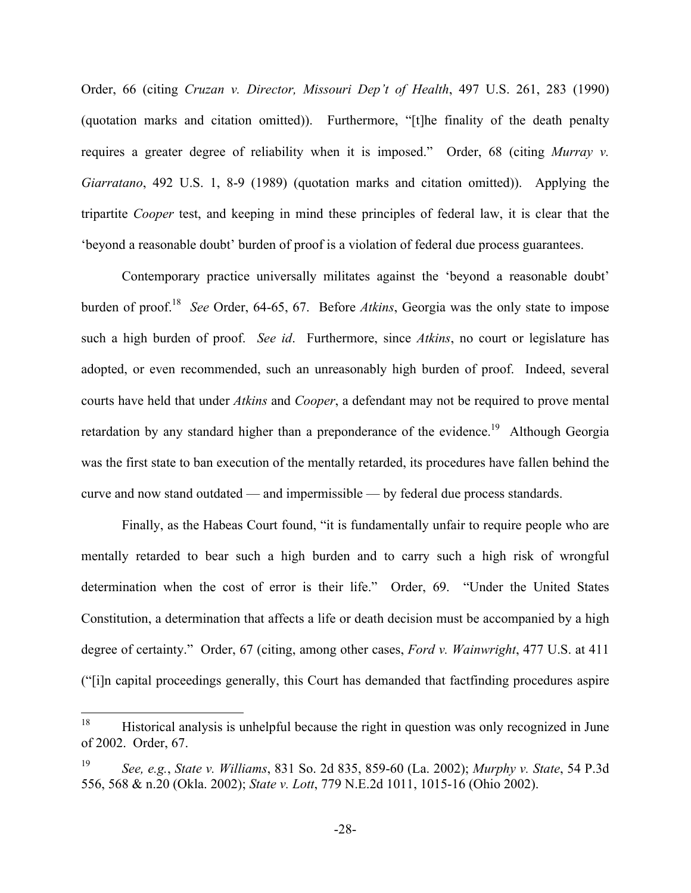Order, 66 (citing *Cruzan v. Director, Missouri Dep't of Health*, 497 U.S. 261, 283 (1990) (quotation marks and citation omitted)). Furthermore, "[t]he finality of the death penalty requires a greater degree of reliability when it is imposed." Order, 68 (citing *Murray v. Giarratano*, 492 U.S. 1, 8-9 (1989) (quotation marks and citation omitted)). Applying the tripartite *Cooper* test, and keeping in mind these principles of federal law, it is clear that the 'beyond a reasonable doubt' burden of proof is a violation of federal due process guarantees.

 Contemporary practice universally militates against the 'beyond a reasonable doubt' burden of proof.18 *See* Order, 64-65, 67. Before *Atkins*, Georgia was the only state to impose such a high burden of proof. *See id*. Furthermore, since *Atkins*, no court or legislature has adopted, or even recommended, such an unreasonably high burden of proof. Indeed, several courts have held that under *Atkins* and *Cooper*, a defendant may not be required to prove mental retardation by any standard higher than a preponderance of the evidence.<sup>19</sup> Although Georgia was the first state to ban execution of the mentally retarded, its procedures have fallen behind the curve and now stand outdated — and impermissible — by federal due process standards.

 Finally, as the Habeas Court found, "it is fundamentally unfair to require people who are mentally retarded to bear such a high burden and to carry such a high risk of wrongful determination when the cost of error is their life." Order, 69. "Under the United States Constitution, a determination that affects a life or death decision must be accompanied by a high degree of certainty." Order, 67 (citing, among other cases, *Ford v. Wainwright*, 477 U.S. at 411 ("[i]n capital proceedings generally, this Court has demanded that factfinding procedures aspire

<sup>&</sup>lt;sup>18</sup> Historical analysis is unhelpful because the right in question was only recognized in June of 2002. Order, 67.

<sup>19</sup> *See, e.g.*, *State v. Williams*, 831 So. 2d 835, 859-60 (La. 2002); *Murphy v. State*, 54 P.3d 556, 568 & n.20 (Okla. 2002); *State v. Lott*, 779 N.E.2d 1011, 1015-16 (Ohio 2002).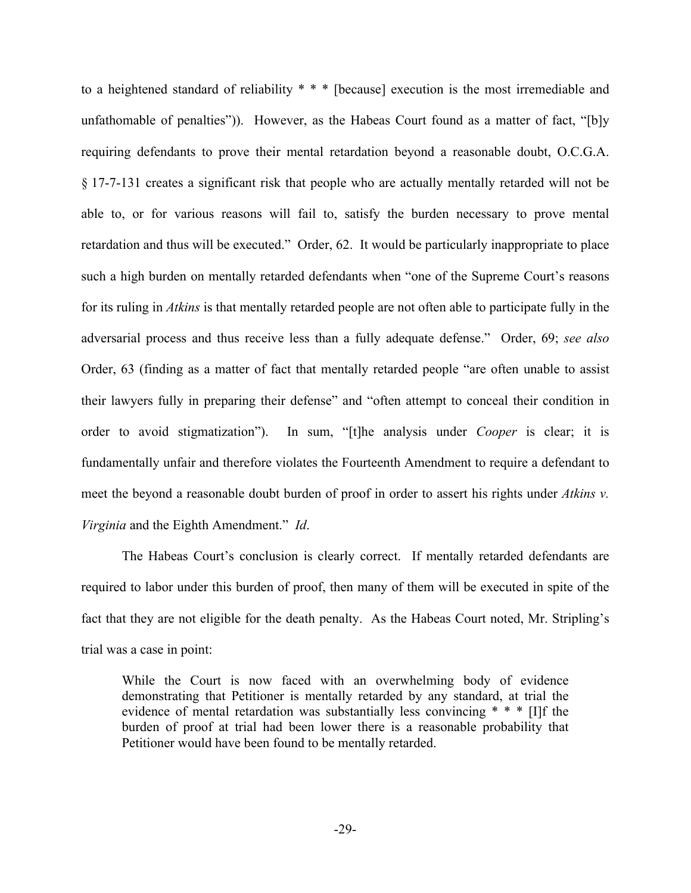to a heightened standard of reliability \* \* \* [because] execution is the most irremediable and unfathomable of penalties")). However, as the Habeas Court found as a matter of fact, "[b]y requiring defendants to prove their mental retardation beyond a reasonable doubt, O.C.G.A. § 17-7-131 creates a significant risk that people who are actually mentally retarded will not be able to, or for various reasons will fail to, satisfy the burden necessary to prove mental retardation and thus will be executed." Order, 62. It would be particularly inappropriate to place such a high burden on mentally retarded defendants when "one of the Supreme Court's reasons for its ruling in *Atkins* is that mentally retarded people are not often able to participate fully in the adversarial process and thus receive less than a fully adequate defense." Order, 69; *see also* Order, 63 (finding as a matter of fact that mentally retarded people "are often unable to assist their lawyers fully in preparing their defense" and "often attempt to conceal their condition in order to avoid stigmatization"). In sum, "[t]he analysis under *Cooper* is clear; it is fundamentally unfair and therefore violates the Fourteenth Amendment to require a defendant to meet the beyond a reasonable doubt burden of proof in order to assert his rights under *Atkins v. Virginia* and the Eighth Amendment." *Id*.

 The Habeas Court's conclusion is clearly correct. If mentally retarded defendants are required to labor under this burden of proof, then many of them will be executed in spite of the fact that they are not eligible for the death penalty. As the Habeas Court noted, Mr. Stripling's trial was a case in point:

While the Court is now faced with an overwhelming body of evidence demonstrating that Petitioner is mentally retarded by any standard, at trial the evidence of mental retardation was substantially less convincing \* \* \* [I]f the burden of proof at trial had been lower there is a reasonable probability that Petitioner would have been found to be mentally retarded.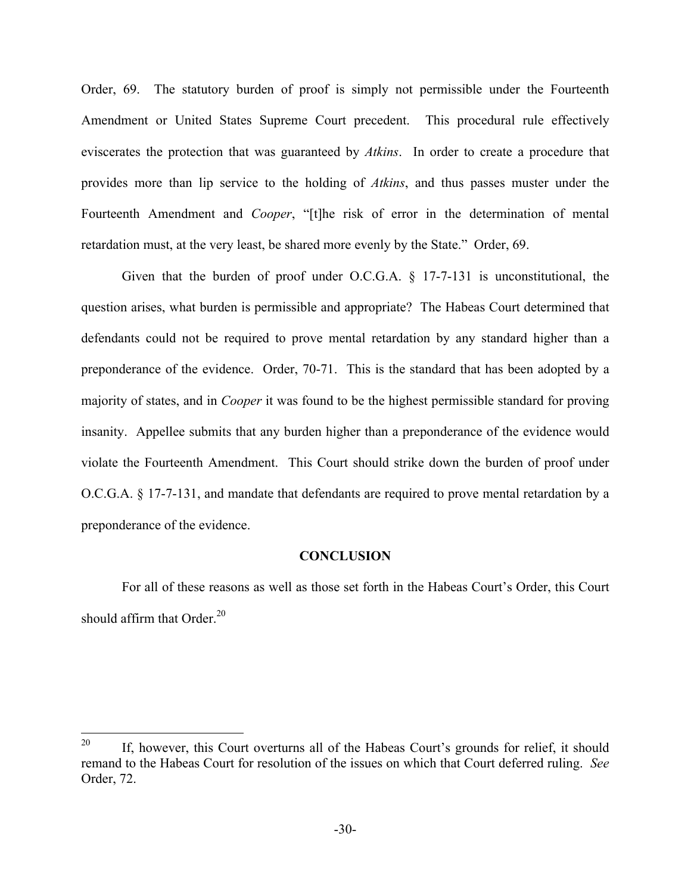Order, 69. The statutory burden of proof is simply not permissible under the Fourteenth Amendment or United States Supreme Court precedent. This procedural rule effectively eviscerates the protection that was guaranteed by *Atkins*. In order to create a procedure that provides more than lip service to the holding of *Atkins*, and thus passes muster under the Fourteenth Amendment and *Cooper*, "[t]he risk of error in the determination of mental retardation must, at the very least, be shared more evenly by the State." Order, 69.

 Given that the burden of proof under O.C.G.A. § 17-7-131 is unconstitutional, the question arises, what burden is permissible and appropriate? The Habeas Court determined that defendants could not be required to prove mental retardation by any standard higher than a preponderance of the evidence. Order, 70-71. This is the standard that has been adopted by a majority of states, and in *Cooper* it was found to be the highest permissible standard for proving insanity. Appellee submits that any burden higher than a preponderance of the evidence would violate the Fourteenth Amendment. This Court should strike down the burden of proof under O.C.G.A. § 17-7-131, and mandate that defendants are required to prove mental retardation by a preponderance of the evidence.

#### **CONCLUSION**

 For all of these reasons as well as those set forth in the Habeas Court's Order, this Court should affirm that Order. $^{20}$ 

<sup>&</sup>lt;sup>20</sup> If, however, this Court overturns all of the Habeas Court's grounds for relief, it should remand to the Habeas Court for resolution of the issues on which that Court deferred ruling. *See* Order, 72.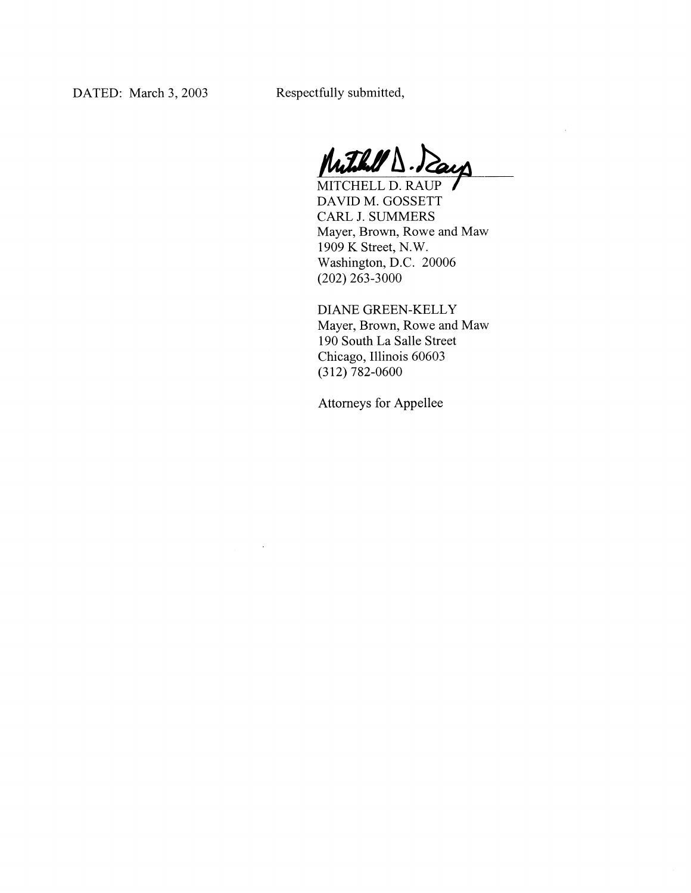Respectfully submitted,

Muthell D. Days

V.

MITCHELL D. RAUP DAVID M. GOSSETT CARL J. SUMMERS Mayer, Brown, Rowe and Maw 1909 K Street, N.W. Washington, D.C. 20006  $(202)$  263-3000

DIANE GREEN-KELLY Mayer, Brown, Rowe and Maw 190 South La Salle Street Chicago, Illinois 60603  $(312) 782 - 0600$ 

**Attorneys for Appellee**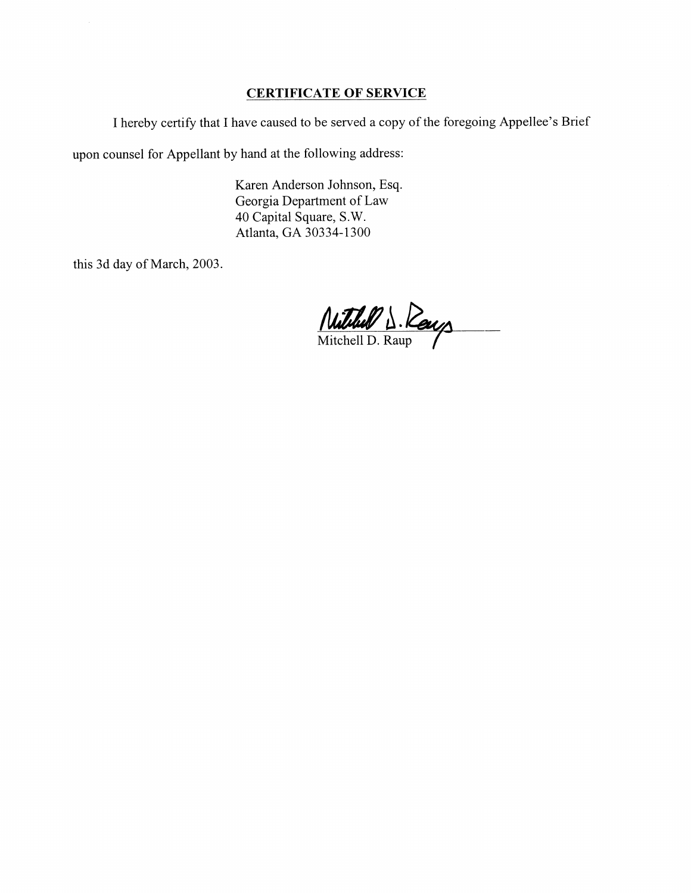#### **CERTIFICATE OF SERVICE**

I hereby certify that I have caused to be served a copy of the foregoing Appellee's Brief

upon counsel for Appellant by hand at the following address:

Karen Anderson Johnson, Esq. Georgia Department of Law 40 Capital Square, S.W. Atlanta, GA 30334-1300

this 3d day of March, 2003.

Mitchell D. Reup